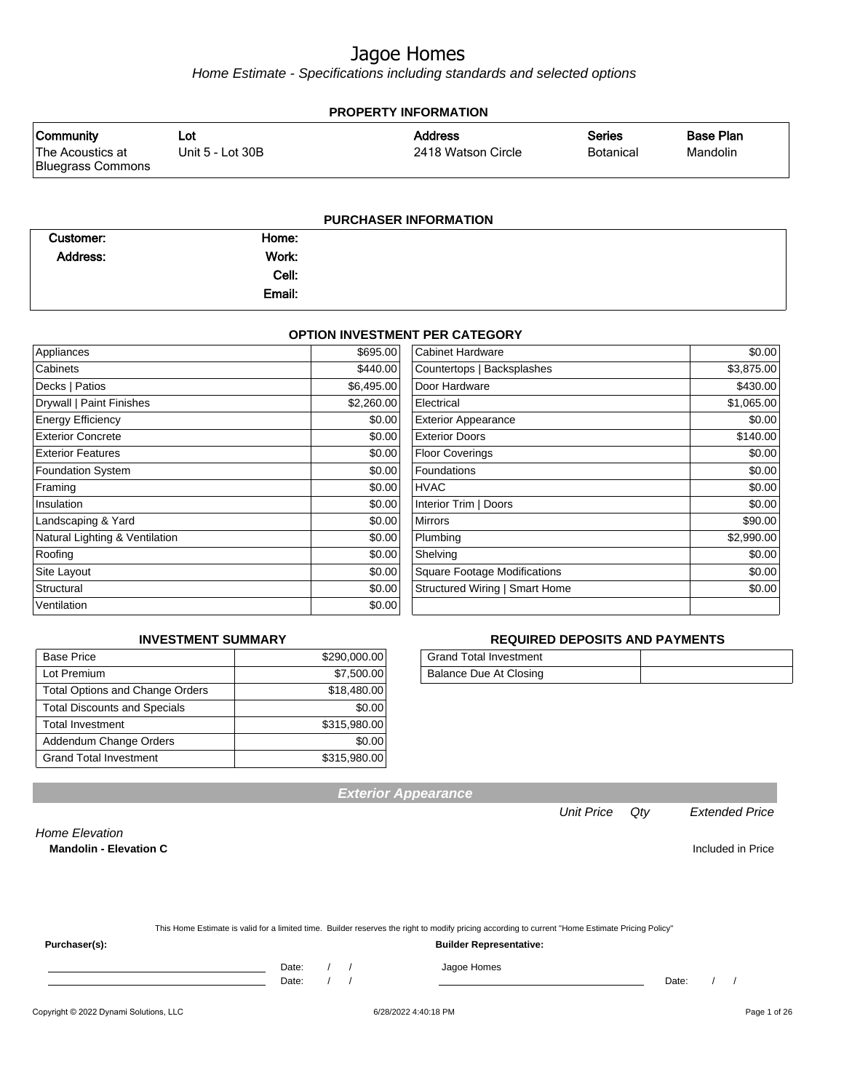Home Estimate - Specifications including standards and selected options

| <b>PROPERTY INFORMATION</b>                               |                         |                                      |                                   |                              |  |  |  |
|-----------------------------------------------------------|-------------------------|--------------------------------------|-----------------------------------|------------------------------|--|--|--|
| <b>Community</b><br>The Acoustics at<br>Bluegrass Commons | Lot<br>Unit 5 - Lot 30B | <b>Address</b><br>2418 Watson Circle | <b>Series</b><br><b>Botanical</b> | <b>Base Plan</b><br>Mandolin |  |  |  |
| DHDCHASED INFORMATION                                     |                         |                                      |                                   |                              |  |  |  |

|           | <u>דטווטוואט וואז אוסאווטוס</u> |  |  |  |
|-----------|---------------------------------|--|--|--|
| Customer: | Home:                           |  |  |  |
| Address:  | Work:                           |  |  |  |
|           | Cell:                           |  |  |  |
|           | Email:                          |  |  |  |
|           |                                 |  |  |  |

#### **OPTION INVESTMENT PER CATEGORY**

| Appliances                     | \$695.00   | Cabinet Hardware                    | \$0.00     |
|--------------------------------|------------|-------------------------------------|------------|
| Cabinets                       | \$440.00   | Countertops   Backsplashes          | \$3,875.00 |
| Decks   Patios                 | \$6,495.00 | Door Hardware                       | \$430.00   |
| Drywall   Paint Finishes       | \$2,260.00 | Electrical                          | \$1,065.00 |
| <b>Energy Efficiency</b>       | \$0.00     | <b>Exterior Appearance</b>          | \$0.00     |
| <b>Exterior Concrete</b>       | \$0.00     | <b>Exterior Doors</b>               | \$140.00   |
| <b>Exterior Features</b>       | \$0.00     | <b>Floor Coverings</b>              | \$0.00     |
| <b>Foundation System</b>       | \$0.00     | Foundations                         | \$0.00     |
| Framing                        | \$0.00     | <b>HVAC</b>                         | \$0.00     |
| Insulation                     | \$0.00     | Interior Trim   Doors               | \$0.00     |
| Landscaping & Yard             | \$0.00     | <b>Mirrors</b>                      | \$90.00    |
| Natural Lighting & Ventilation | \$0.00     | Plumbing                            | \$2,990.00 |
| Roofing                        | \$0.00     | Shelving                            | \$0.00     |
| Site Layout                    | \$0.00     | <b>Square Footage Modifications</b> | \$0.00     |
| Structural                     | \$0.00     | Structured Wiring   Smart Home      | \$0.00     |
| Ventilation                    | \$0.00     |                                     |            |

#### **INVESTMENT SUMMARY**

| <b>Base Price</b>                      | \$290,000.00 |
|----------------------------------------|--------------|
| Lot Premium                            | \$7,500.00   |
| <b>Total Options and Change Orders</b> | \$18,480.00  |
| <b>Total Discounts and Specials</b>    | \$0.00       |
| <b>Total Investment</b>                | \$315,980.00 |
| Addendum Change Orders                 | \$0.00       |
| <b>Grand Total Investment</b>          | \$315,980.00 |

#### **REQUIRED DEPOSITS AND PAYMENTS**

| Grand Total Investment |  |
|------------------------|--|
| Balance Due At Closing |  |

**Exterior Appearance**

Unit Price Qty Extended Price

Home Elevation

**Mandolin - Elevation C Included in Price** 

|  | This Home Estimate is valid for a limited time. Builder reserves the right to modify pricing according to current "Home Estimate Pricing Policy" |  |
|--|--------------------------------------------------------------------------------------------------------------------------------------------------|--|
|  |                                                                                                                                                  |  |

**Purchaser(s): Builder Representative:**

Date: / / Jagoe Homes<br>Date: / / Jagoe Homes

Date: / / Date: / /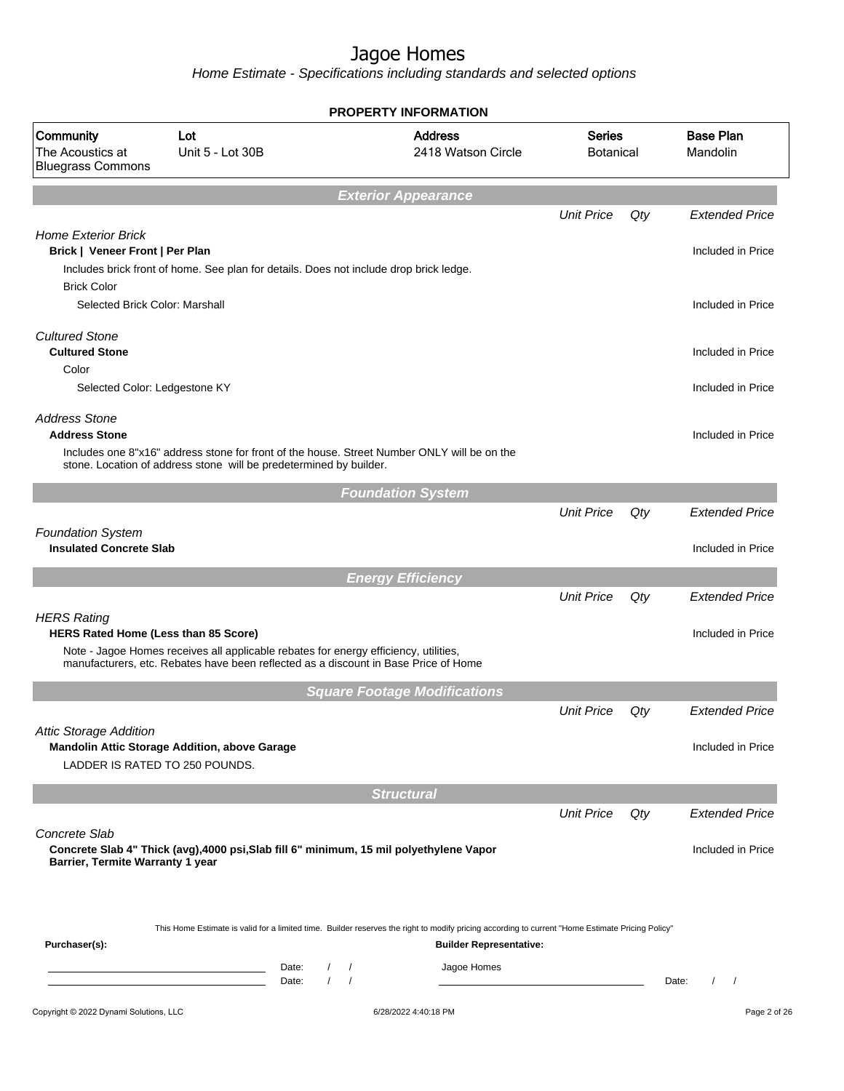Home Estimate - Specifications including standards and selected options

|                                                                 |                                                                                                                                                                             |                                                    | <b>PROPERTY INFORMATION</b>                                                                                                                                                        |                                   |     |                                            |
|-----------------------------------------------------------------|-----------------------------------------------------------------------------------------------------------------------------------------------------------------------------|----------------------------------------------------|------------------------------------------------------------------------------------------------------------------------------------------------------------------------------------|-----------------------------------|-----|--------------------------------------------|
| Community<br>The Acoustics at<br><b>Bluegrass Commons</b>       | Lot<br>Unit 5 - Lot 30B                                                                                                                                                     |                                                    | <b>Address</b><br>2418 Watson Circle                                                                                                                                               | <b>Series</b><br><b>Botanical</b> |     | <b>Base Plan</b><br>Mandolin               |
|                                                                 |                                                                                                                                                                             |                                                    | <b>Exterior Appearance</b>                                                                                                                                                         |                                   |     |                                            |
| <b>Home Exterior Brick</b><br>Brick   Veneer Front   Per Plan   |                                                                                                                                                                             |                                                    |                                                                                                                                                                                    | <b>Unit Price</b>                 | Qty | <b>Extended Price</b><br>Included in Price |
| <b>Brick Color</b>                                              | Includes brick front of home. See plan for details. Does not include drop brick ledge.                                                                                      |                                                    |                                                                                                                                                                                    |                                   |     |                                            |
| Selected Brick Color: Marshall                                  |                                                                                                                                                                             |                                                    |                                                                                                                                                                                    |                                   |     | Included in Price                          |
| <b>Cultured Stone</b><br><b>Cultured Stone</b><br>Color         |                                                                                                                                                                             |                                                    |                                                                                                                                                                                    |                                   |     | Included in Price                          |
| Selected Color: Ledgestone KY                                   |                                                                                                                                                                             |                                                    |                                                                                                                                                                                    |                                   |     | Included in Price                          |
| <b>Address Stone</b><br><b>Address Stone</b>                    | stone. Location of address stone will be predetermined by builder.                                                                                                          |                                                    | Includes one 8"x16" address stone for front of the house. Street Number ONLY will be on the                                                                                        |                                   |     | Included in Price                          |
|                                                                 |                                                                                                                                                                             |                                                    | <b>Foundation System</b>                                                                                                                                                           |                                   |     |                                            |
|                                                                 |                                                                                                                                                                             |                                                    |                                                                                                                                                                                    | <b>Unit Price</b>                 | Qty | <b>Extended Price</b>                      |
| <b>Foundation System</b><br><b>Insulated Concrete Slab</b>      |                                                                                                                                                                             |                                                    |                                                                                                                                                                                    |                                   |     | Included in Price                          |
|                                                                 |                                                                                                                                                                             |                                                    | <b>Energy Efficiency</b>                                                                                                                                                           |                                   |     |                                            |
| <b>HERS Rating</b>                                              |                                                                                                                                                                             |                                                    |                                                                                                                                                                                    | <b>Unit Price</b>                 | Qty | <b>Extended Price</b>                      |
| HERS Rated Home (Less than 85 Score)                            | Note - Jagoe Homes receives all applicable rebates for energy efficiency, utilities,<br>manufacturers, etc. Rebates have been reflected as a discount in Base Price of Home |                                                    |                                                                                                                                                                                    |                                   |     | Included in Price                          |
|                                                                 |                                                                                                                                                                             |                                                    | <b>Square Footage Modifications</b>                                                                                                                                                |                                   |     |                                            |
|                                                                 |                                                                                                                                                                             |                                                    |                                                                                                                                                                                    | <b>Unit Price</b>                 | Qty | <b>Extended Price</b>                      |
| <b>Attic Storage Addition</b><br>LADDER IS RATED TO 250 POUNDS. | Mandolin Attic Storage Addition, above Garage                                                                                                                               |                                                    |                                                                                                                                                                                    |                                   |     | Included in Price                          |
|                                                                 |                                                                                                                                                                             |                                                    | <b>Structural</b>                                                                                                                                                                  |                                   |     |                                            |
| Concrete Slab                                                   |                                                                                                                                                                             |                                                    |                                                                                                                                                                                    | <b>Unit Price</b>                 | Qty | <b>Extended Price</b>                      |
| Barrier, Termite Warranty 1 year                                |                                                                                                                                                                             |                                                    | Concrete Slab 4" Thick (avg), 4000 psi, Slab fill 6" minimum, 15 mil polyethylene Vapor                                                                                            |                                   |     | Included in Price                          |
|                                                                 |                                                                                                                                                                             |                                                    |                                                                                                                                                                                    |                                   |     |                                            |
| Purchaser(s):                                                   |                                                                                                                                                                             |                                                    | This Home Estimate is valid for a limited time. Builder reserves the right to modify pricing according to current "Home Estimate Pricing Policy"<br><b>Builder Representative:</b> |                                   |     |                                            |
|                                                                 | <u> 1989 - Johann Barn, mars ann an t-Amhair ann an t-A</u><br><u> 1989 - Johann Barbara, martin a</u>                                                                      | Date:<br>$\prime$<br>$\prime$<br>Date:<br>$\prime$ | Jagoe Homes                                                                                                                                                                        |                                   |     | Date:                                      |
| Copyright © 2022 Dynami Solutions, LLC                          |                                                                                                                                                                             |                                                    | 6/28/2022 4:40:18 PM                                                                                                                                                               |                                   |     | Page 2 of 26                               |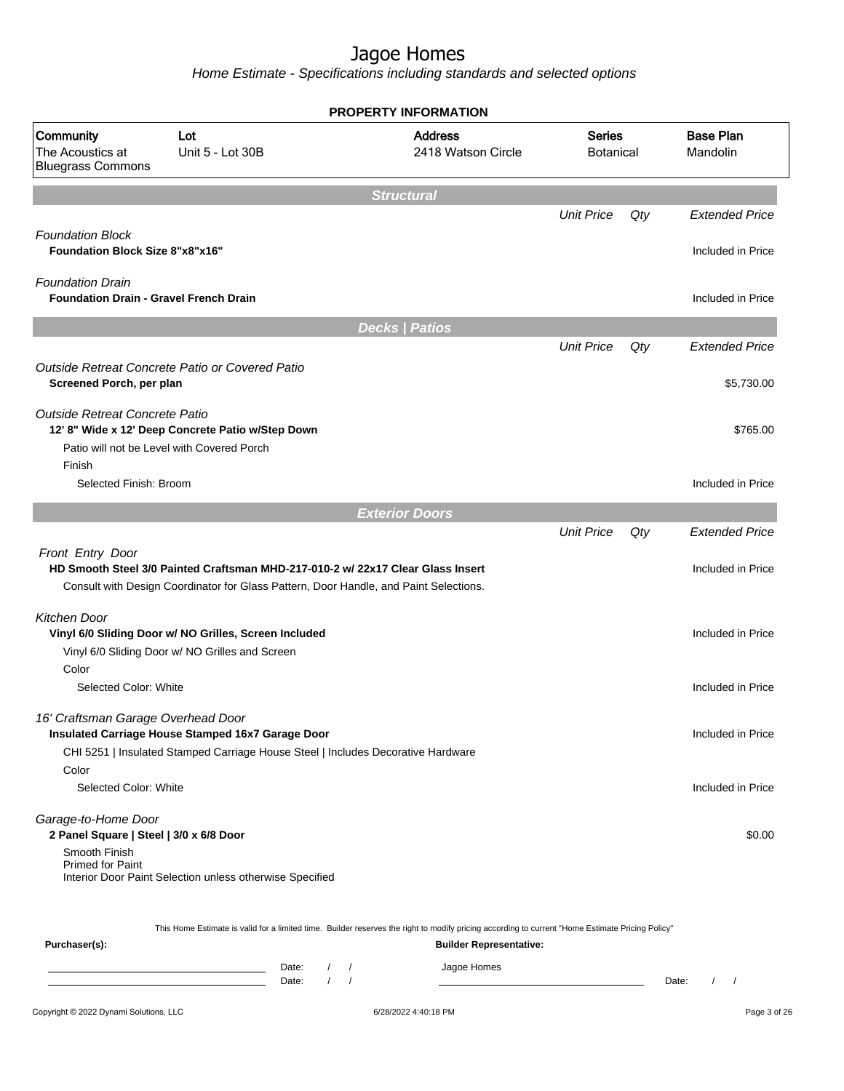Home Estimate - Specifications including standards and selected options

|                                                                          |                                                                                                                                                                          | <b>PROPERTY INFORMATION</b>                                                                                                                      |                                   |     |                              |
|--------------------------------------------------------------------------|--------------------------------------------------------------------------------------------------------------------------------------------------------------------------|--------------------------------------------------------------------------------------------------------------------------------------------------|-----------------------------------|-----|------------------------------|
| Community<br>The Acoustics at<br><b>Bluegrass Commons</b>                | Lot<br>Unit 5 - Lot 30B                                                                                                                                                  | <b>Address</b><br>2418 Watson Circle                                                                                                             | <b>Series</b><br><b>Botanical</b> |     | <b>Base Plan</b><br>Mandolin |
|                                                                          |                                                                                                                                                                          | <b>Structural</b>                                                                                                                                |                                   |     |                              |
|                                                                          |                                                                                                                                                                          |                                                                                                                                                  | <b>Unit Price</b>                 | Qty | <b>Extended Price</b>        |
| <b>Foundation Block</b><br><b>Foundation Block Size 8"x8"x16"</b>        |                                                                                                                                                                          |                                                                                                                                                  |                                   |     | Included in Price            |
| <b>Foundation Drain</b><br><b>Foundation Drain - Gravel French Drain</b> |                                                                                                                                                                          |                                                                                                                                                  |                                   |     | Included in Price            |
|                                                                          |                                                                                                                                                                          | <b>Decks   Patios</b>                                                                                                                            |                                   |     |                              |
|                                                                          |                                                                                                                                                                          |                                                                                                                                                  | <b>Unit Price</b>                 | Qty | <b>Extended Price</b>        |
| Screened Porch, per plan                                                 | Outside Retreat Concrete Patio or Covered Patio                                                                                                                          |                                                                                                                                                  |                                   |     | \$5,730.00                   |
| Outside Retreat Concrete Patio                                           | 12' 8" Wide x 12' Deep Concrete Patio w/Step Down<br>Patio will not be Level with Covered Porch                                                                          |                                                                                                                                                  |                                   |     | \$765.00                     |
| Finish<br>Selected Finish: Broom                                         |                                                                                                                                                                          |                                                                                                                                                  |                                   |     | Included in Price            |
|                                                                          |                                                                                                                                                                          | <b>Exterior Doors</b>                                                                                                                            |                                   |     |                              |
|                                                                          |                                                                                                                                                                          |                                                                                                                                                  | <b>Unit Price</b>                 | Qty | <b>Extended Price</b>        |
| Front Entry Door                                                         | HD Smooth Steel 3/0 Painted Craftsman MHD-217-010-2 w/ 22x17 Clear Glass Insert<br>Consult with Design Coordinator for Glass Pattern, Door Handle, and Paint Selections. |                                                                                                                                                  |                                   |     | Included in Price            |
| Kitchen Door                                                             | Vinyl 6/0 Sliding Door w/ NO Grilles, Screen Included<br>Vinyl 6/0 Sliding Door w/ NO Grilles and Screen                                                                 |                                                                                                                                                  |                                   |     | Included in Price            |
| Color<br>Selected Color: White                                           |                                                                                                                                                                          |                                                                                                                                                  |                                   |     | Included in Price            |
| 16' Craftsman Garage Overhead Door                                       |                                                                                                                                                                          |                                                                                                                                                  |                                   |     |                              |
|                                                                          | Insulated Carriage House Stamped 16x7 Garage Door<br>CHI 5251   Insulated Stamped Carriage House Steel   Includes Decorative Hardware                                    |                                                                                                                                                  |                                   |     | Included in Price            |
| Color<br>Selected Color: White                                           |                                                                                                                                                                          |                                                                                                                                                  |                                   |     | Included in Price            |
| Garage-to-Home Door<br>2 Panel Square   Steel   3/0 x 6/8 Door           |                                                                                                                                                                          |                                                                                                                                                  |                                   |     | \$0.00                       |
| Smooth Finish<br><b>Primed for Paint</b>                                 | Interior Door Paint Selection unless otherwise Specified                                                                                                                 |                                                                                                                                                  |                                   |     |                              |
|                                                                          |                                                                                                                                                                          | This Home Estimate is valid for a limited time. Builder reserves the right to modify pricing according to current "Home Estimate Pricing Policy" |                                   |     |                              |
| Purchaser(s):                                                            | Date:<br>Date:                                                                                                                                                           | <b>Builder Representative:</b><br>Jagoe Homes                                                                                                    |                                   |     | Date:                        |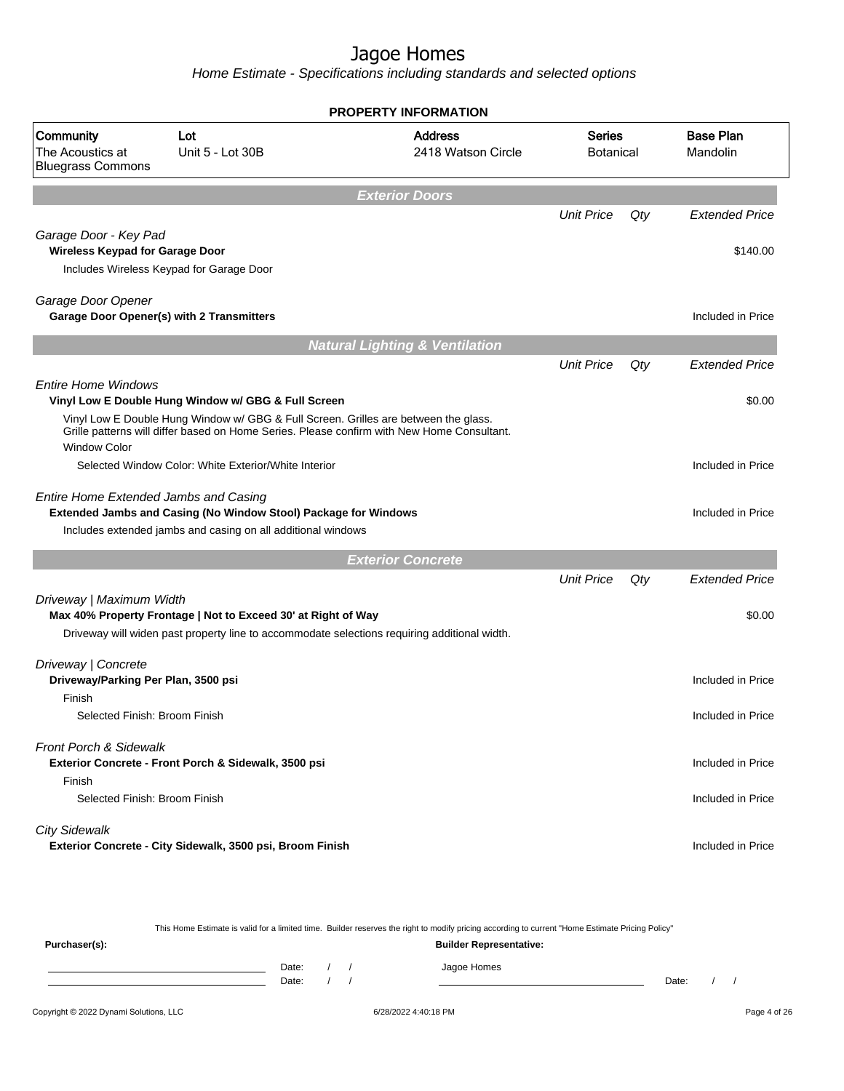Home Estimate - Specifications including standards and selected options

|                                                                                                             |                                                                                                                                 | <b>PROPERTY INFORMATION</b>                                                                                                                                                       |                                   |     |                              |
|-------------------------------------------------------------------------------------------------------------|---------------------------------------------------------------------------------------------------------------------------------|-----------------------------------------------------------------------------------------------------------------------------------------------------------------------------------|-----------------------------------|-----|------------------------------|
| Community<br>The Acoustics at<br><b>Bluegrass Commons</b>                                                   | Lot<br>Unit 5 - Lot 30B                                                                                                         | <b>Address</b><br>2418 Watson Circle                                                                                                                                              | <b>Series</b><br><b>Botanical</b> |     | <b>Base Plan</b><br>Mandolin |
|                                                                                                             |                                                                                                                                 | <b>Exterior Doors</b>                                                                                                                                                             |                                   |     |                              |
|                                                                                                             |                                                                                                                                 |                                                                                                                                                                                   | <b>Unit Price</b>                 | Qty | <b>Extended Price</b>        |
| Garage Door - Key Pad<br><b>Wireless Keypad for Garage Door</b><br>Includes Wireless Keypad for Garage Door |                                                                                                                                 |                                                                                                                                                                                   |                                   |     | \$140.00                     |
| Garage Door Opener<br>Garage Door Opener(s) with 2 Transmitters                                             |                                                                                                                                 |                                                                                                                                                                                   |                                   |     | Included in Price            |
|                                                                                                             |                                                                                                                                 | <b>Natural Lighting &amp; Ventilation</b>                                                                                                                                         |                                   |     |                              |
|                                                                                                             |                                                                                                                                 |                                                                                                                                                                                   | <b>Unit Price</b>                 | Qty | <b>Extended Price</b>        |
| <b>Entire Home Windows</b>                                                                                  | Vinyl Low E Double Hung Window w/ GBG & Full Screen                                                                             | Vinyl Low E Double Hung Window w/ GBG & Full Screen. Grilles are between the glass.<br>Grille patterns will differ based on Home Series. Please confirm with New Home Consultant. |                                   |     | \$0.00                       |
| <b>Window Color</b>                                                                                         | Selected Window Color: White Exterior/White Interior                                                                            |                                                                                                                                                                                   |                                   |     | Included in Price            |
| Entire Home Extended Jambs and Casing                                                                       | Extended Jambs and Casing (No Window Stool) Package for Windows<br>Includes extended jambs and casing on all additional windows |                                                                                                                                                                                   |                                   |     | Included in Price            |
|                                                                                                             |                                                                                                                                 | <b>Exterior Concrete</b>                                                                                                                                                          |                                   |     |                              |
|                                                                                                             |                                                                                                                                 |                                                                                                                                                                                   | <b>Unit Price</b>                 | Qty | <b>Extended Price</b>        |
| Driveway   Maximum Width                                                                                    | Max 40% Property Frontage   Not to Exceed 30' at Right of Way                                                                   | Driveway will widen past property line to accommodate selections requiring additional width.                                                                                      |                                   |     | \$0.00                       |
| Driveway   Concrete<br>Driveway/Parking Per Plan, 3500 psi<br>Finish                                        |                                                                                                                                 |                                                                                                                                                                                   |                                   |     | Included in Price            |
| Selected Finish: Broom Finish                                                                               |                                                                                                                                 |                                                                                                                                                                                   |                                   |     | Included in Price            |
| <b>Front Porch &amp; Sidewalk</b><br>Finish                                                                 | Exterior Concrete - Front Porch & Sidewalk, 3500 psi                                                                            |                                                                                                                                                                                   |                                   |     | Included in Price            |
| Selected Finish: Broom Finish                                                                               |                                                                                                                                 |                                                                                                                                                                                   |                                   |     | Included in Price            |
| <b>City Sidewalk</b>                                                                                        | Exterior Concrete - City Sidewalk, 3500 psi, Broom Finish                                                                       |                                                                                                                                                                                   |                                   |     | Included in Price            |

This Home Estimate is valid for a limited time. Builder reserves the right to modify pricing according to current "Home Estimate Pricing Policy" **Purchaser(s): Builder Representative:** Date: / / Jagoe Homes<br>Date: / / Jagoe Homes Date: / / **Date: / / 2006** Date: / / **Date: / / / 2006** Date: / / / 2006 Date: / / / 2006 Date: / / / 2006 Date: / / / 2007 Date: / / / 2007 Date: / / / 2008 Date: / / / 2008 Date: / / / 2008 Date: / / / 2008 Date: / / / 2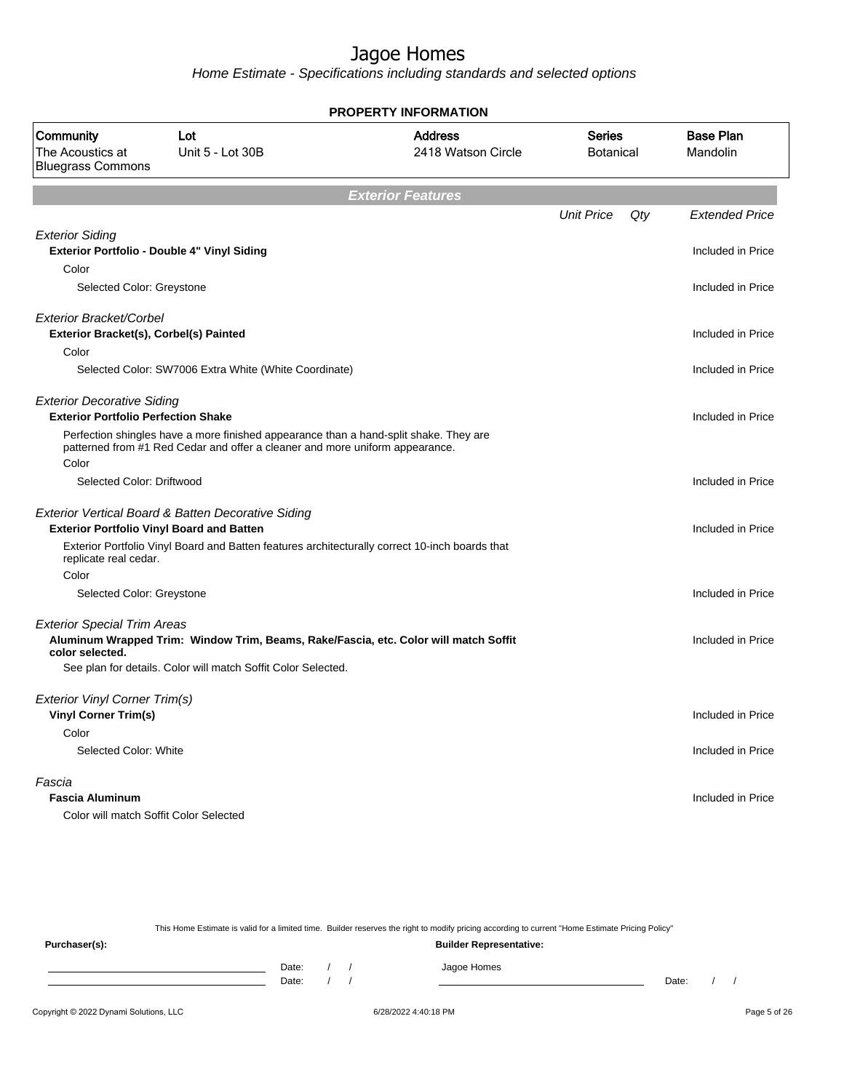Home Estimate - Specifications including standards and selected options

| PROPERTY INFORMATION                                                            |                                                                                                                                                                       |                                      |                                   |     |                              |  |
|---------------------------------------------------------------------------------|-----------------------------------------------------------------------------------------------------------------------------------------------------------------------|--------------------------------------|-----------------------------------|-----|------------------------------|--|
| Community<br>The Acoustics at<br><b>Bluegrass Commons</b>                       | Lot<br>Unit 5 - Lot 30B                                                                                                                                               | <b>Address</b><br>2418 Watson Circle | <b>Series</b><br><b>Botanical</b> |     | <b>Base Plan</b><br>Mandolin |  |
|                                                                                 |                                                                                                                                                                       | <b>Exterior Features</b>             |                                   |     |                              |  |
|                                                                                 |                                                                                                                                                                       |                                      | <b>Unit Price</b>                 | Qty | <b>Extended Price</b>        |  |
| <b>Exterior Siding</b>                                                          | Exterior Portfolio - Double 4" Vinyl Siding                                                                                                                           |                                      |                                   |     | Included in Price            |  |
| Color                                                                           |                                                                                                                                                                       |                                      |                                   |     |                              |  |
| Selected Color: Greystone                                                       |                                                                                                                                                                       |                                      |                                   |     | Included in Price            |  |
| Exterior Bracket/Corbel<br>Exterior Bracket(s), Corbel(s) Painted               |                                                                                                                                                                       |                                      |                                   |     | Included in Price            |  |
| Color                                                                           |                                                                                                                                                                       |                                      |                                   |     |                              |  |
|                                                                                 | Selected Color: SW7006 Extra White (White Coordinate)                                                                                                                 |                                      |                                   |     | Included in Price            |  |
| <b>Exterior Decorative Siding</b><br><b>Exterior Portfolio Perfection Shake</b> |                                                                                                                                                                       |                                      |                                   |     | Included in Price            |  |
|                                                                                 | Perfection shingles have a more finished appearance than a hand-split shake. They are<br>patterned from #1 Red Cedar and offer a cleaner and more uniform appearance. |                                      |                                   |     |                              |  |
| Color                                                                           |                                                                                                                                                                       |                                      |                                   |     |                              |  |
| Selected Color: Driftwood                                                       |                                                                                                                                                                       |                                      |                                   |     | Included in Price            |  |
|                                                                                 | Exterior Vertical Board & Batten Decorative Siding                                                                                                                    |                                      |                                   |     |                              |  |
|                                                                                 | <b>Exterior Portfolio Vinyl Board and Batten</b>                                                                                                                      |                                      |                                   |     | Included in Price            |  |
| replicate real cedar.                                                           | Exterior Portfolio Vinyl Board and Batten features architecturally correct 10-inch boards that                                                                        |                                      |                                   |     |                              |  |
| Color                                                                           |                                                                                                                                                                       |                                      |                                   |     |                              |  |
| Selected Color: Greystone                                                       |                                                                                                                                                                       |                                      |                                   |     | Included in Price            |  |
| <b>Exterior Special Trim Areas</b><br>color selected.                           | Aluminum Wrapped Trim: Window Trim, Beams, Rake/Fascia, etc. Color will match Soffit                                                                                  |                                      |                                   |     | Included in Price            |  |
|                                                                                 | See plan for details. Color will match Soffit Color Selected.                                                                                                         |                                      |                                   |     |                              |  |
| Exterior Vinyl Corner Trim(s)                                                   |                                                                                                                                                                       |                                      |                                   |     |                              |  |
| <b>Vinyl Corner Trim(s)</b>                                                     |                                                                                                                                                                       |                                      |                                   |     | Included in Price            |  |
| Color                                                                           |                                                                                                                                                                       |                                      |                                   |     |                              |  |
| Selected Color: White                                                           |                                                                                                                                                                       |                                      |                                   |     | Included in Price            |  |
| Fascia                                                                          |                                                                                                                                                                       |                                      |                                   |     |                              |  |
| <b>Fascia Aluminum</b>                                                          |                                                                                                                                                                       |                                      |                                   |     | Included in Price            |  |
|                                                                                 | Color will match Soffit Color Selected                                                                                                                                |                                      |                                   |     |                              |  |

This Home Estimate is valid for a limited time. Builder reserves the right to modify pricing according to current "Home Estimate Pricing Policy"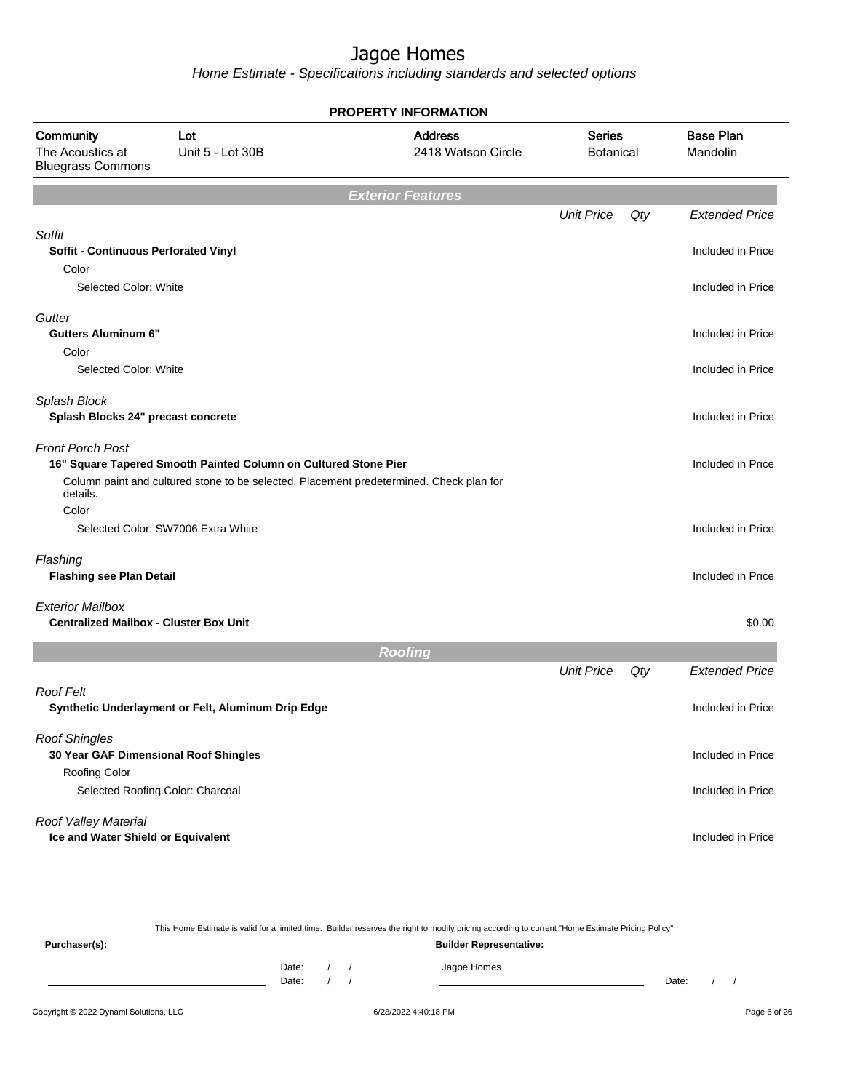Home Estimate - Specifications including standards and selected options

|                                                                                |                                                                                                                                                            | <b>PROPERTY INFORMATION</b>          |                                   |     |                              |
|--------------------------------------------------------------------------------|------------------------------------------------------------------------------------------------------------------------------------------------------------|--------------------------------------|-----------------------------------|-----|------------------------------|
| Community<br>The Acoustics at<br><b>Bluegrass Commons</b>                      | Lot<br>Unit 5 - Lot 30B                                                                                                                                    | <b>Address</b><br>2418 Watson Circle | <b>Series</b><br><b>Botanical</b> |     | <b>Base Plan</b><br>Mandolin |
|                                                                                |                                                                                                                                                            | <b>Exterior Features</b>             |                                   |     |                              |
|                                                                                |                                                                                                                                                            |                                      | <b>Unit Price</b>                 | Qty | <b>Extended Price</b>        |
| Soffit<br>Soffit - Continuous Perforated Vinyl                                 |                                                                                                                                                            |                                      |                                   |     | Included in Price            |
| Color<br>Selected Color: White                                                 |                                                                                                                                                            |                                      |                                   |     | Included in Price            |
| Gutter<br><b>Gutters Aluminum 6"</b>                                           |                                                                                                                                                            |                                      |                                   |     | Included in Price            |
| Color<br>Selected Color: White                                                 |                                                                                                                                                            |                                      |                                   |     | Included in Price            |
| Splash Block<br>Splash Blocks 24" precast concrete                             |                                                                                                                                                            |                                      |                                   |     | Included in Price            |
| <b>Front Porch Post</b>                                                        | 16" Square Tapered Smooth Painted Column on Cultured Stone Pier<br>Column paint and cultured stone to be selected. Placement predetermined. Check plan for |                                      |                                   |     | Included in Price            |
| details.<br>Color                                                              |                                                                                                                                                            |                                      |                                   |     |                              |
|                                                                                | Selected Color: SW7006 Extra White                                                                                                                         |                                      |                                   |     | Included in Price            |
| Flashing<br><b>Flashing see Plan Detail</b>                                    |                                                                                                                                                            |                                      |                                   |     | Included in Price            |
| <b>Exterior Mailbox</b><br><b>Centralized Mailbox - Cluster Box Unit</b>       |                                                                                                                                                            |                                      |                                   |     | \$0.00                       |
|                                                                                |                                                                                                                                                            | <b>Roofing</b>                       |                                   |     |                              |
|                                                                                |                                                                                                                                                            |                                      | <b>Unit Price</b>                 | Qty | <b>Extended Price</b>        |
| <b>Roof Felt</b>                                                               | Synthetic Underlayment or Felt, Aluminum Drip Edge                                                                                                         |                                      |                                   |     | Included in Price            |
| <b>Roof Shingles</b><br>30 Year GAF Dimensional Roof Shingles<br>Roofing Color |                                                                                                                                                            |                                      |                                   |     | Included in Price            |
|                                                                                | Selected Roofing Color: Charcoal                                                                                                                           |                                      |                                   |     | Included in Price            |
| Roof Valley Material<br>Ice and Water Shield or Equivalent                     |                                                                                                                                                            |                                      |                                   |     | Included in Price            |

This Home Estimate is valid for a limited time. Builder reserves the right to modify pricing according to current "Home Estimate Pricing Policy" **Purchaser(s): Builder Representative:**

Date: / / Jagoe Homes<br>Date: / / Jagoe Homes Date: / / **Date: / / 2006** Date: / / / Date: / / / Date: / / / 2006 Date: / / / 2006 Date: / / / 2006 Date: / / / 2006 Date: / / / 2007 Date: / / / 2007 Date: / / / 2007 Date: / / / 2007 Date: / / / 2007 Date: / / / 2007 D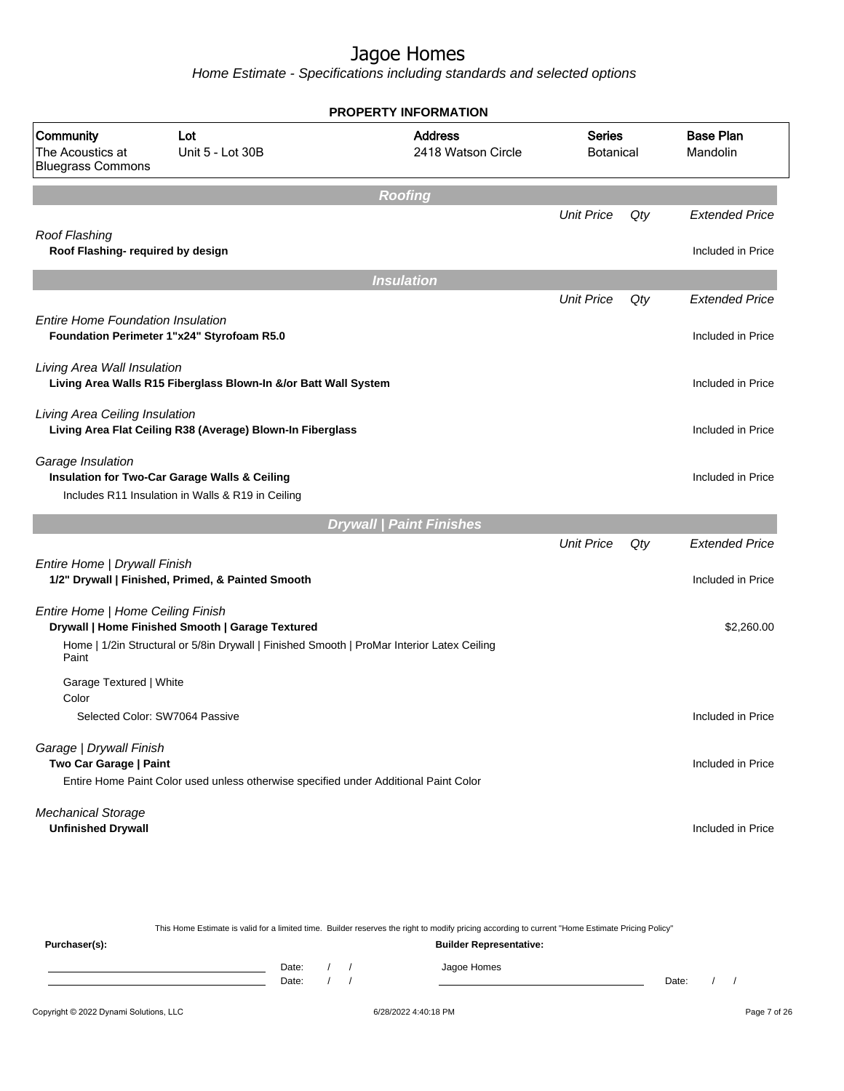Home Estimate - Specifications including standards and selected options

|                                                                                        |                                                                 | <b>PROPERTY INFORMATION</b>                                                                |                            |     |                              |
|----------------------------------------------------------------------------------------|-----------------------------------------------------------------|--------------------------------------------------------------------------------------------|----------------------------|-----|------------------------------|
| Community<br>The Acoustics at<br><b>Bluegrass Commons</b>                              | Lot<br>Unit 5 - Lot 30B                                         | <b>Address</b><br>2418 Watson Circle                                                       | <b>Series</b><br>Botanical |     | <b>Base Plan</b><br>Mandolin |
|                                                                                        |                                                                 | <b>Roofing</b>                                                                             |                            |     |                              |
|                                                                                        |                                                                 |                                                                                            | <b>Unit Price</b>          | Qty | <b>Extended Price</b>        |
| Roof Flashing<br>Roof Flashing- required by design                                     |                                                                 |                                                                                            |                            |     | Included in Price            |
|                                                                                        |                                                                 | <b>Insulation</b>                                                                          |                            |     |                              |
|                                                                                        |                                                                 |                                                                                            | <b>Unit Price</b>          | Qty | <b>Extended Price</b>        |
| <b>Entire Home Foundation Insulation</b><br>Foundation Perimeter 1"x24" Styrofoam R5.0 |                                                                 |                                                                                            |                            |     | Included in Price            |
| Living Area Wall Insulation                                                            | Living Area Walls R15 Fiberglass Blown-In &/or Batt Wall System |                                                                                            |                            |     | Included in Price            |
| Living Area Ceiling Insulation                                                         | Living Area Flat Ceiling R38 (Average) Blown-In Fiberglass      |                                                                                            |                            |     | Included in Price            |
| Garage Insulation<br>Insulation for Two-Car Garage Walls & Ceiling                     | Includes R11 Insulation in Walls & R19 in Ceiling               |                                                                                            |                            |     | Included in Price            |
|                                                                                        |                                                                 | <b>Drywall   Paint Finishes</b>                                                            |                            |     |                              |
|                                                                                        |                                                                 |                                                                                            | <b>Unit Price</b>          | Qty | <b>Extended Price</b>        |
| Entire Home   Drywall Finish                                                           | 1/2" Drywall   Finished, Primed, & Painted Smooth               |                                                                                            |                            |     | Included in Price            |
| Entire Home   Home Ceiling Finish                                                      | Drywall   Home Finished Smooth   Garage Textured                |                                                                                            |                            |     | \$2,260.00                   |
| Paint                                                                                  |                                                                 | Home   1/2in Structural or 5/8in Drywall   Finished Smooth   ProMar Interior Latex Ceiling |                            |     |                              |
| Garage Textured   White                                                                |                                                                 |                                                                                            |                            |     |                              |
| Color<br>Selected Color: SW7064 Passive                                                |                                                                 |                                                                                            |                            |     | Included in Price            |
| Garage   Drywall Finish<br>Two Car Garage   Paint                                      |                                                                 |                                                                                            |                            |     | Included in Price            |
|                                                                                        |                                                                 | Entire Home Paint Color used unless otherwise specified under Additional Paint Color       |                            |     |                              |
| <b>Mechanical Storage</b><br><b>Unfinished Drywall</b>                                 |                                                                 |                                                                                            |                            |     | Included in Price            |

Copyright © 2022 Dynami Solutions, LLC <br>
6/28/2022 4:40:18 PM Page 7 of 26 This Home Estimate is valid for a limited time. Builder reserves the right to modify pricing according to current "Home Estimate Pricing Policy" **Purchaser(s): Builder Representative:** Date: / / Jagoe Homes<br>Date: / / Jagoe Homes Date: / / **Date: / / 2006** Date: / / / Date: / / / Date: / / / 2006 Date: / / / 2006 Date: / / / 2006 Date: / / / 2006 Date: / / / 2007 Date: / / / 2007 Date: / / / 2007 Date: / / / 2007 Date: / / / 2007 Date: / / / 2007 D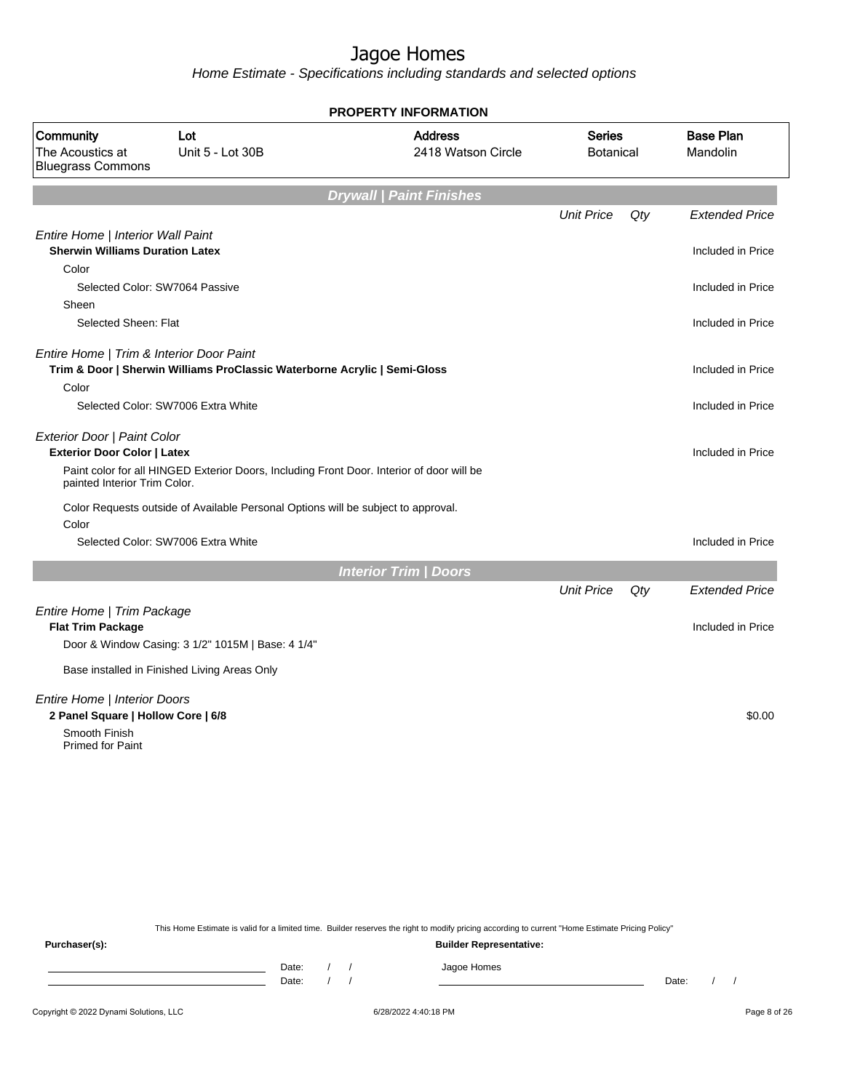Home Estimate - Specifications including standards and selected options

|                                                                             |                                                                                           | <b>PROPERTY INFORMATION</b>          |                                   |     |                              |
|-----------------------------------------------------------------------------|-------------------------------------------------------------------------------------------|--------------------------------------|-----------------------------------|-----|------------------------------|
| Community<br>The Acoustics at<br><b>Bluegrass Commons</b>                   | Lot<br>Unit 5 - Lot 30B                                                                   | <b>Address</b><br>2418 Watson Circle | <b>Series</b><br><b>Botanical</b> |     | <b>Base Plan</b><br>Mandolin |
|                                                                             |                                                                                           | <b>Drywall   Paint Finishes</b>      |                                   |     |                              |
|                                                                             |                                                                                           |                                      | <b>Unit Price</b>                 | Qty | <b>Extended Price</b>        |
| Entire Home   Interior Wall Paint<br><b>Sherwin Williams Duration Latex</b> |                                                                                           |                                      |                                   |     | Included in Price            |
| Color                                                                       |                                                                                           |                                      |                                   |     |                              |
|                                                                             | Selected Color: SW7064 Passive                                                            |                                      |                                   |     | Included in Price            |
| Sheen                                                                       |                                                                                           |                                      |                                   |     |                              |
| Selected Sheen: Flat                                                        |                                                                                           |                                      |                                   |     | Included in Price            |
| Entire Home   Trim & Interior Door Paint                                    |                                                                                           |                                      |                                   |     |                              |
|                                                                             | Trim & Door   Sherwin Williams ProClassic Waterborne Acrylic   Semi-Gloss                 |                                      |                                   |     | Included in Price            |
| Color                                                                       |                                                                                           |                                      |                                   |     |                              |
|                                                                             | Selected Color: SW7006 Extra White                                                        |                                      |                                   |     | Included in Price            |
| Exterior Door   Paint Color                                                 |                                                                                           |                                      |                                   |     |                              |
| <b>Exterior Door Color   Latex</b>                                          |                                                                                           |                                      |                                   |     | Included in Price            |
| painted Interior Trim Color.                                                | Paint color for all HINGED Exterior Doors, Including Front Door. Interior of door will be |                                      |                                   |     |                              |
| Color                                                                       | Color Requests outside of Available Personal Options will be subject to approval.         |                                      |                                   |     |                              |
|                                                                             | Selected Color: SW7006 Extra White                                                        |                                      |                                   |     | Included in Price            |
|                                                                             |                                                                                           | <b>Interior Trim / Doors</b>         |                                   |     |                              |
|                                                                             |                                                                                           |                                      | <b>Unit Price</b>                 | Qty | <b>Extended Price</b>        |
| Entire Home   Trim Package                                                  |                                                                                           |                                      |                                   |     |                              |
| <b>Flat Trim Package</b>                                                    |                                                                                           |                                      |                                   |     | Included in Price            |
|                                                                             | Door & Window Casing: 3 1/2" 1015M   Base: 4 1/4"                                         |                                      |                                   |     |                              |
|                                                                             | Base installed in Finished Living Areas Only                                              |                                      |                                   |     |                              |
| Entire Home   Interior Doors                                                |                                                                                           |                                      |                                   |     |                              |
| 2 Panel Square   Hollow Core   6/8                                          |                                                                                           |                                      |                                   |     | \$0.00                       |
| Smooth Finish<br><b>Primed for Paint</b>                                    |                                                                                           |                                      |                                   |     |                              |
|                                                                             |                                                                                           |                                      |                                   |     |                              |
|                                                                             |                                                                                           |                                      |                                   |     |                              |
|                                                                             |                                                                                           |                                      |                                   |     |                              |
|                                                                             |                                                                                           |                                      |                                   |     |                              |
|                                                                             |                                                                                           |                                      |                                   |     |                              |

This Home Estimate is valid for a limited time. Builder reserves the right to modify pricing according to current "Home Estimate Pricing Policy"

**Purchaser(s): Builder Representative:** Date: / / Jagoe Homes<br>Date: / / Jagoe Homes Date: / / **Date: / / 2006** Date: / / **Date: / / / 2006** Date: / / / 2006 Date: / / / 2006 Date: / / / 2006 Date: / / / 2007 Date: / / / 2007 Date: / / / 2008 Date: / / / 2008 Date: / / / 2008 Date: / / / 2008 Date: / / / 2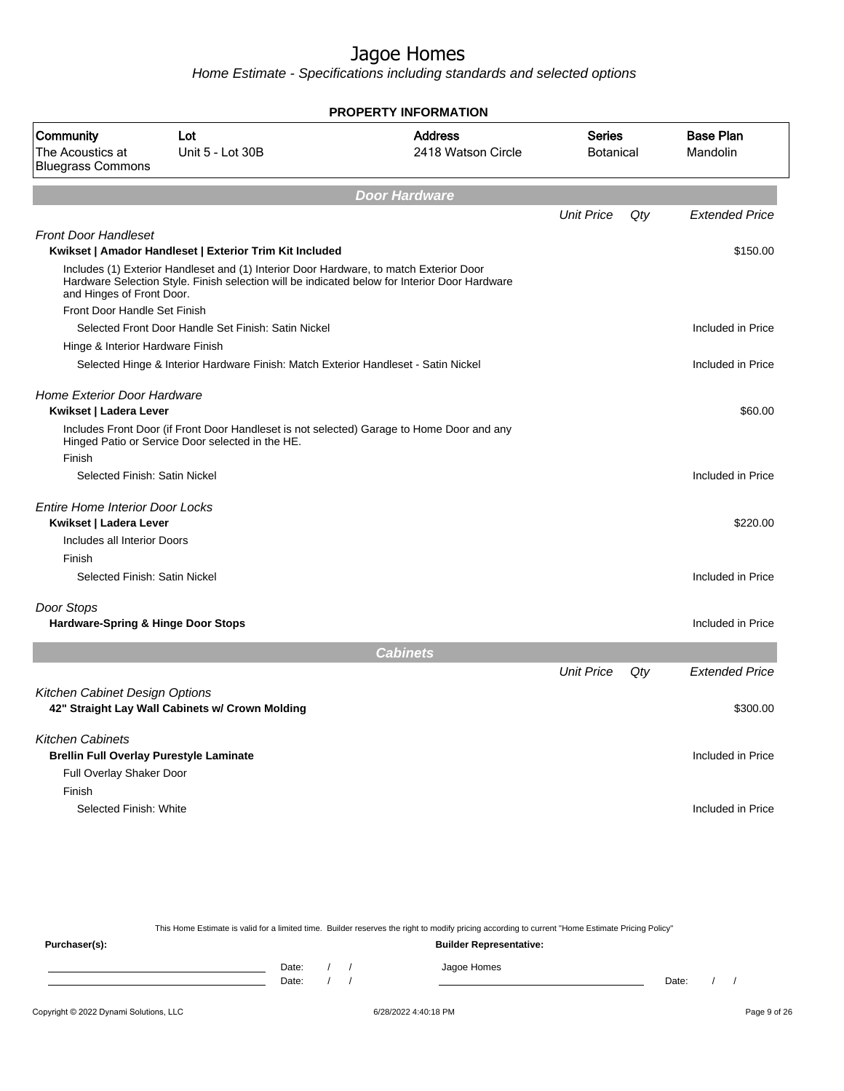Home Estimate - Specifications including standards and selected options

| <b>Base Plan</b><br><b>Address</b><br><b>Series</b><br>Community<br>Lot<br>The Acoustics at<br>Unit 5 - Lot 30B<br>2418 Watson Circle<br>Mandolin<br><b>Botanical</b><br><b>Bluegrass Commons</b><br><b>Door Hardware</b><br><b>Unit Price</b><br>Qty<br><b>Front Door Handleset</b><br>Kwikset   Amador Handleset   Exterior Trim Kit Included<br>Includes (1) Exterior Handleset and (1) Interior Door Hardware, to match Exterior Door<br>Hardware Selection Style. Finish selection will be indicated below for Interior Door Hardware<br>and Hinges of Front Door.<br>Front Door Handle Set Finish<br>Selected Front Door Handle Set Finish: Satin Nickel<br>Hinge & Interior Hardware Finish<br>Selected Hinge & Interior Hardware Finish: Match Exterior Handleset - Satin Nickel<br><b>Home Exterior Door Hardware</b><br>Kwikset   Ladera Lever<br>Includes Front Door (if Front Door Handleset is not selected) Garage to Home Door and any<br>Hinged Patio or Service Door selected in the HE.<br>Finish<br>Selected Finish: Satin Nickel<br><b>Entire Home Interior Door Locks</b><br>Kwikset   Ladera Lever<br>Includes all Interior Doors<br>Finish<br>Selected Finish: Satin Nickel<br>Door Stops<br>Hardware-Spring & Hinge Door Stops<br><b>Cabinets</b><br><b>Unit Price</b><br>Qty<br><b>Kitchen Cabinet Design Options</b><br>42" Straight Lay Wall Cabinets w/ Crown Molding<br><b>Kitchen Cabinets</b><br><b>Brellin Full Overlay Purestyle Laminate</b> |                       |  | <b>PROPERTY INFORMATION</b> |  |
|--------------------------------------------------------------------------------------------------------------------------------------------------------------------------------------------------------------------------------------------------------------------------------------------------------------------------------------------------------------------------------------------------------------------------------------------------------------------------------------------------------------------------------------------------------------------------------------------------------------------------------------------------------------------------------------------------------------------------------------------------------------------------------------------------------------------------------------------------------------------------------------------------------------------------------------------------------------------------------------------------------------------------------------------------------------------------------------------------------------------------------------------------------------------------------------------------------------------------------------------------------------------------------------------------------------------------------------------------------------------------------------------------------------------------------------------------------------------------------|-----------------------|--|-----------------------------|--|
|                                                                                                                                                                                                                                                                                                                                                                                                                                                                                                                                                                                                                                                                                                                                                                                                                                                                                                                                                                                                                                                                                                                                                                                                                                                                                                                                                                                                                                                                                |                       |  |                             |  |
|                                                                                                                                                                                                                                                                                                                                                                                                                                                                                                                                                                                                                                                                                                                                                                                                                                                                                                                                                                                                                                                                                                                                                                                                                                                                                                                                                                                                                                                                                |                       |  |                             |  |
|                                                                                                                                                                                                                                                                                                                                                                                                                                                                                                                                                                                                                                                                                                                                                                                                                                                                                                                                                                                                                                                                                                                                                                                                                                                                                                                                                                                                                                                                                | <b>Extended Price</b> |  |                             |  |
|                                                                                                                                                                                                                                                                                                                                                                                                                                                                                                                                                                                                                                                                                                                                                                                                                                                                                                                                                                                                                                                                                                                                                                                                                                                                                                                                                                                                                                                                                |                       |  |                             |  |
|                                                                                                                                                                                                                                                                                                                                                                                                                                                                                                                                                                                                                                                                                                                                                                                                                                                                                                                                                                                                                                                                                                                                                                                                                                                                                                                                                                                                                                                                                | \$150.00              |  |                             |  |
|                                                                                                                                                                                                                                                                                                                                                                                                                                                                                                                                                                                                                                                                                                                                                                                                                                                                                                                                                                                                                                                                                                                                                                                                                                                                                                                                                                                                                                                                                |                       |  |                             |  |
|                                                                                                                                                                                                                                                                                                                                                                                                                                                                                                                                                                                                                                                                                                                                                                                                                                                                                                                                                                                                                                                                                                                                                                                                                                                                                                                                                                                                                                                                                |                       |  |                             |  |
|                                                                                                                                                                                                                                                                                                                                                                                                                                                                                                                                                                                                                                                                                                                                                                                                                                                                                                                                                                                                                                                                                                                                                                                                                                                                                                                                                                                                                                                                                | Included in Price     |  |                             |  |
|                                                                                                                                                                                                                                                                                                                                                                                                                                                                                                                                                                                                                                                                                                                                                                                                                                                                                                                                                                                                                                                                                                                                                                                                                                                                                                                                                                                                                                                                                |                       |  |                             |  |
|                                                                                                                                                                                                                                                                                                                                                                                                                                                                                                                                                                                                                                                                                                                                                                                                                                                                                                                                                                                                                                                                                                                                                                                                                                                                                                                                                                                                                                                                                | Included in Price     |  |                             |  |
|                                                                                                                                                                                                                                                                                                                                                                                                                                                                                                                                                                                                                                                                                                                                                                                                                                                                                                                                                                                                                                                                                                                                                                                                                                                                                                                                                                                                                                                                                | \$60.00               |  |                             |  |
|                                                                                                                                                                                                                                                                                                                                                                                                                                                                                                                                                                                                                                                                                                                                                                                                                                                                                                                                                                                                                                                                                                                                                                                                                                                                                                                                                                                                                                                                                |                       |  |                             |  |
|                                                                                                                                                                                                                                                                                                                                                                                                                                                                                                                                                                                                                                                                                                                                                                                                                                                                                                                                                                                                                                                                                                                                                                                                                                                                                                                                                                                                                                                                                | Included in Price     |  |                             |  |
|                                                                                                                                                                                                                                                                                                                                                                                                                                                                                                                                                                                                                                                                                                                                                                                                                                                                                                                                                                                                                                                                                                                                                                                                                                                                                                                                                                                                                                                                                |                       |  |                             |  |
|                                                                                                                                                                                                                                                                                                                                                                                                                                                                                                                                                                                                                                                                                                                                                                                                                                                                                                                                                                                                                                                                                                                                                                                                                                                                                                                                                                                                                                                                                |                       |  |                             |  |
|                                                                                                                                                                                                                                                                                                                                                                                                                                                                                                                                                                                                                                                                                                                                                                                                                                                                                                                                                                                                                                                                                                                                                                                                                                                                                                                                                                                                                                                                                | \$220.00              |  |                             |  |
|                                                                                                                                                                                                                                                                                                                                                                                                                                                                                                                                                                                                                                                                                                                                                                                                                                                                                                                                                                                                                                                                                                                                                                                                                                                                                                                                                                                                                                                                                |                       |  |                             |  |
|                                                                                                                                                                                                                                                                                                                                                                                                                                                                                                                                                                                                                                                                                                                                                                                                                                                                                                                                                                                                                                                                                                                                                                                                                                                                                                                                                                                                                                                                                |                       |  |                             |  |
|                                                                                                                                                                                                                                                                                                                                                                                                                                                                                                                                                                                                                                                                                                                                                                                                                                                                                                                                                                                                                                                                                                                                                                                                                                                                                                                                                                                                                                                                                | Included in Price     |  |                             |  |
|                                                                                                                                                                                                                                                                                                                                                                                                                                                                                                                                                                                                                                                                                                                                                                                                                                                                                                                                                                                                                                                                                                                                                                                                                                                                                                                                                                                                                                                                                |                       |  |                             |  |
|                                                                                                                                                                                                                                                                                                                                                                                                                                                                                                                                                                                                                                                                                                                                                                                                                                                                                                                                                                                                                                                                                                                                                                                                                                                                                                                                                                                                                                                                                | Included in Price     |  |                             |  |
|                                                                                                                                                                                                                                                                                                                                                                                                                                                                                                                                                                                                                                                                                                                                                                                                                                                                                                                                                                                                                                                                                                                                                                                                                                                                                                                                                                                                                                                                                |                       |  |                             |  |
|                                                                                                                                                                                                                                                                                                                                                                                                                                                                                                                                                                                                                                                                                                                                                                                                                                                                                                                                                                                                                                                                                                                                                                                                                                                                                                                                                                                                                                                                                | <b>Extended Price</b> |  |                             |  |
|                                                                                                                                                                                                                                                                                                                                                                                                                                                                                                                                                                                                                                                                                                                                                                                                                                                                                                                                                                                                                                                                                                                                                                                                                                                                                                                                                                                                                                                                                |                       |  |                             |  |
|                                                                                                                                                                                                                                                                                                                                                                                                                                                                                                                                                                                                                                                                                                                                                                                                                                                                                                                                                                                                                                                                                                                                                                                                                                                                                                                                                                                                                                                                                | \$300.00              |  |                             |  |
|                                                                                                                                                                                                                                                                                                                                                                                                                                                                                                                                                                                                                                                                                                                                                                                                                                                                                                                                                                                                                                                                                                                                                                                                                                                                                                                                                                                                                                                                                |                       |  |                             |  |
|                                                                                                                                                                                                                                                                                                                                                                                                                                                                                                                                                                                                                                                                                                                                                                                                                                                                                                                                                                                                                                                                                                                                                                                                                                                                                                                                                                                                                                                                                | Included in Price     |  |                             |  |
| Full Overlay Shaker Door                                                                                                                                                                                                                                                                                                                                                                                                                                                                                                                                                                                                                                                                                                                                                                                                                                                                                                                                                                                                                                                                                                                                                                                                                                                                                                                                                                                                                                                       |                       |  |                             |  |
| Finish                                                                                                                                                                                                                                                                                                                                                                                                                                                                                                                                                                                                                                                                                                                                                                                                                                                                                                                                                                                                                                                                                                                                                                                                                                                                                                                                                                                                                                                                         |                       |  |                             |  |
| Selected Finish: White                                                                                                                                                                                                                                                                                                                                                                                                                                                                                                                                                                                                                                                                                                                                                                                                                                                                                                                                                                                                                                                                                                                                                                                                                                                                                                                                                                                                                                                         | Included in Price     |  |                             |  |
|                                                                                                                                                                                                                                                                                                                                                                                                                                                                                                                                                                                                                                                                                                                                                                                                                                                                                                                                                                                                                                                                                                                                                                                                                                                                                                                                                                                                                                                                                |                       |  |                             |  |

This Home Estimate is valid for a limited time. Builder reserves the right to modify pricing according to current "Home Estimate Pricing Policy" **Purchaser(s): Builder Representative:** Date: / / Jagoe Homes<br>Date: / / Jagoe Homes Date: / / **Date: / / 2006** Date: / / / Date: / / / Date: / / / 2006 Date: / / / 2006 Date: / / / 2006 Date: / / / 2006 Date: / / / 2007 Date: / / / 2007 Date: / / / 2007 Date: / / / 2007 Date: / / / 2007 Date: / / / 2007 D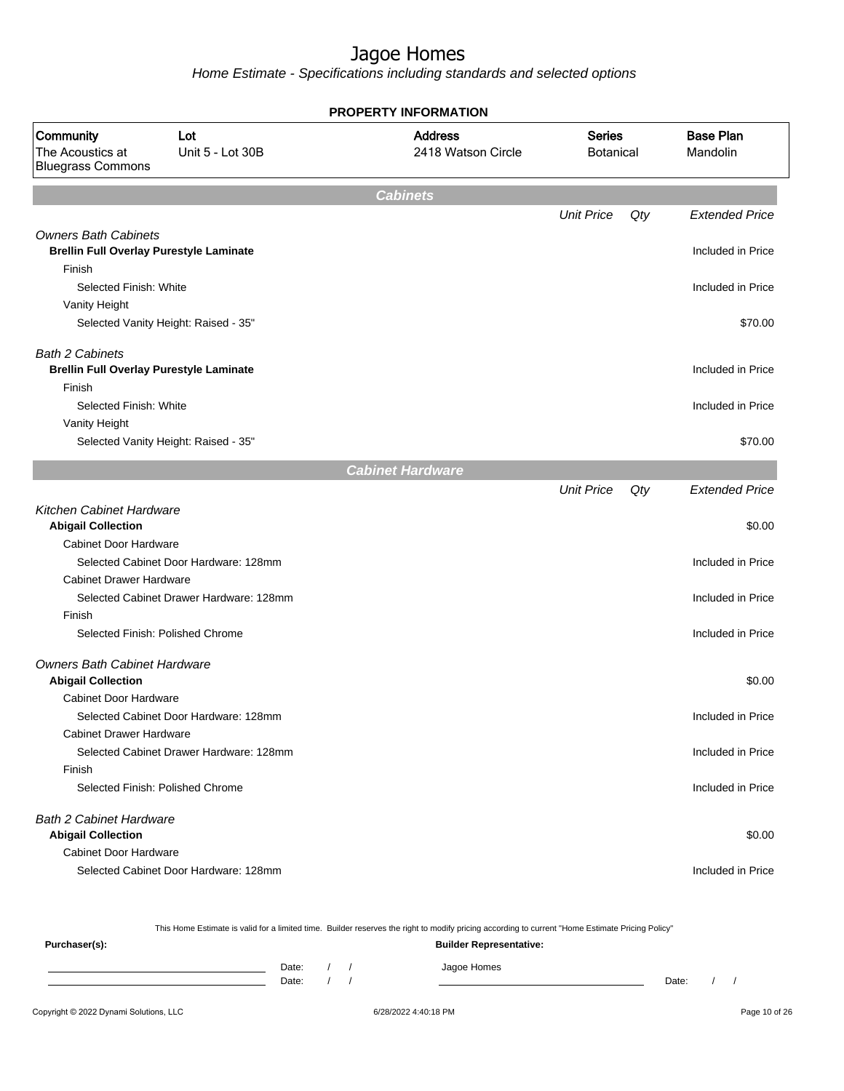Home Estimate - Specifications including standards and selected options

|                                                                                      |                                         | <b>PROPERTY INFORMATION</b>          |                                   |     |                              |
|--------------------------------------------------------------------------------------|-----------------------------------------|--------------------------------------|-----------------------------------|-----|------------------------------|
| Community<br>Lot<br>The Acoustics at<br>Unit 5 - Lot 30B<br><b>Bluegrass Commons</b> |                                         | <b>Address</b><br>2418 Watson Circle | <b>Series</b><br><b>Botanical</b> |     | <b>Base Plan</b><br>Mandolin |
|                                                                                      |                                         | <b>Cabinets</b>                      |                                   |     |                              |
|                                                                                      |                                         |                                      | <b>Unit Price</b>                 | Qty | <b>Extended Price</b>        |
| <b>Owners Bath Cabinets</b><br><b>Brellin Full Overlay Purestyle Laminate</b>        |                                         |                                      |                                   |     | Included in Price            |
| Finish<br>Selected Finish: White                                                     |                                         |                                      |                                   |     | Included in Price            |
| Vanity Height                                                                        |                                         |                                      |                                   |     |                              |
|                                                                                      | Selected Vanity Height: Raised - 35"    |                                      |                                   |     | \$70.00                      |
| <b>Bath 2 Cabinets</b><br><b>Brellin Full Overlay Purestyle Laminate</b>             |                                         |                                      |                                   |     | Included in Price            |
| Finish<br>Selected Finish: White                                                     |                                         |                                      |                                   |     | Included in Price            |
| Vanity Height                                                                        | Selected Vanity Height: Raised - 35"    |                                      |                                   |     | \$70.00                      |
|                                                                                      |                                         | <b>Cabinet Hardware</b>              |                                   |     |                              |
|                                                                                      |                                         |                                      | <b>Unit Price</b>                 | Qty | <b>Extended Price</b>        |
| <b>Kitchen Cabinet Hardware</b><br><b>Abigail Collection</b>                         |                                         |                                      |                                   |     | \$0.00                       |
| <b>Cabinet Door Hardware</b>                                                         |                                         |                                      |                                   |     |                              |
|                                                                                      | Selected Cabinet Door Hardware: 128mm   |                                      |                                   |     | Included in Price            |
| <b>Cabinet Drawer Hardware</b>                                                       |                                         |                                      |                                   |     |                              |
| Finish                                                                               | Selected Cabinet Drawer Hardware: 128mm |                                      |                                   |     | Included in Price            |
| Selected Finish: Polished Chrome                                                     |                                         |                                      |                                   |     | Included in Price            |
|                                                                                      |                                         |                                      |                                   |     |                              |
| <b>Owners Bath Cabinet Hardware</b><br><b>Abigail Collection</b>                     |                                         |                                      |                                   |     | \$0.00                       |
| Cabinet Door Hardware                                                                | Selected Cabinet Door Hardware: 128mm   |                                      |                                   |     | Included in Price            |
| <b>Cabinet Drawer Hardware</b>                                                       |                                         |                                      |                                   |     |                              |
|                                                                                      | Selected Cabinet Drawer Hardware: 128mm |                                      |                                   |     | Included in Price            |
| Finish<br>Selected Finish: Polished Chrome                                           |                                         |                                      |                                   |     | Included in Price            |
| <b>Bath 2 Cabinet Hardware</b>                                                       |                                         |                                      |                                   |     |                              |
| <b>Abigail Collection</b>                                                            |                                         |                                      |                                   |     | \$0.00                       |
| <b>Cabinet Door Hardware</b>                                                         |                                         |                                      |                                   |     |                              |
|                                                                                      | Selected Cabinet Door Hardware: 128mm   |                                      |                                   |     | Included in Price            |

This Home Estimate is valid for a limited time. Builder reserves the right to modify pricing according to current "Home Estimate Pricing Policy"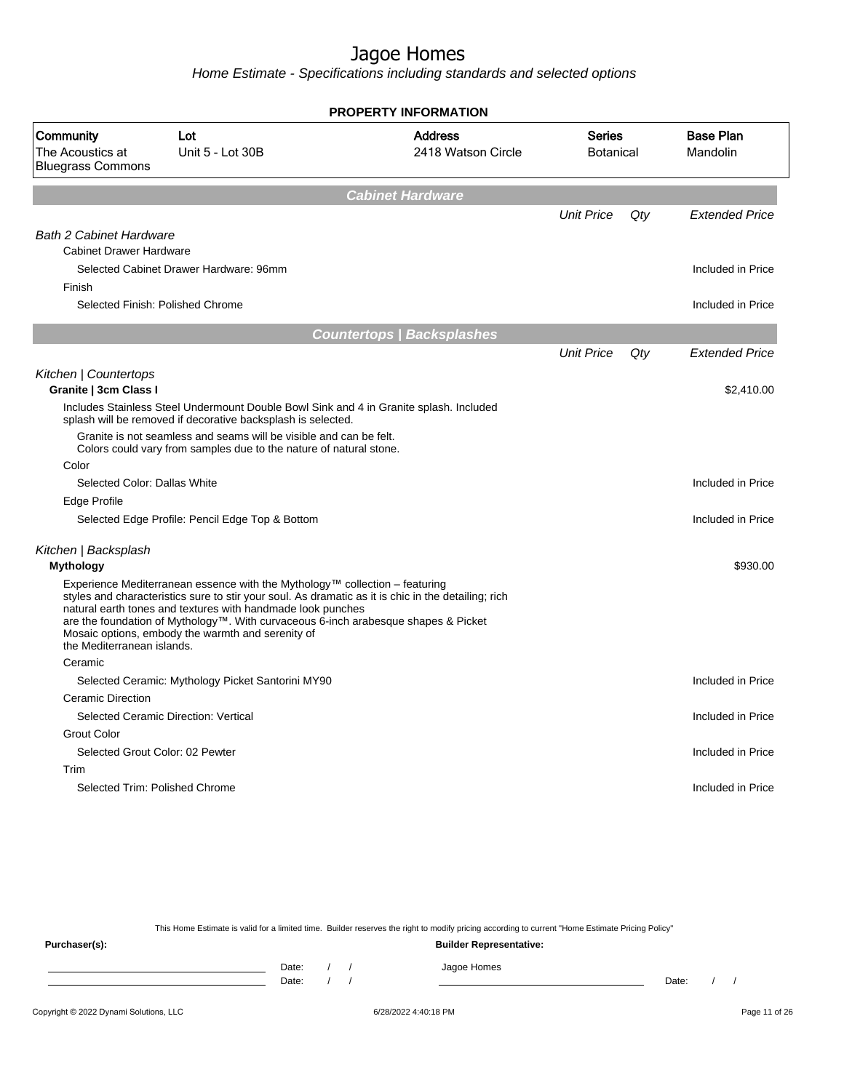Home Estimate - Specifications including standards and selected options

|                                                                  |                                                                                                                                                                                                                                                                                                                                                                                              | <b>PROPERTY INFORMATION</b>          |                                   |     |                              |
|------------------------------------------------------------------|----------------------------------------------------------------------------------------------------------------------------------------------------------------------------------------------------------------------------------------------------------------------------------------------------------------------------------------------------------------------------------------------|--------------------------------------|-----------------------------------|-----|------------------------------|
| Community<br>The Acoustics at<br><b>Bluegrass Commons</b>        | Lot<br>Unit 5 - Lot 30B                                                                                                                                                                                                                                                                                                                                                                      | <b>Address</b><br>2418 Watson Circle | <b>Series</b><br><b>Botanical</b> |     | <b>Base Plan</b><br>Mandolin |
|                                                                  |                                                                                                                                                                                                                                                                                                                                                                                              | <b>Cabinet Hardware</b>              |                                   |     |                              |
| <b>Bath 2 Cabinet Hardware</b><br><b>Cabinet Drawer Hardware</b> |                                                                                                                                                                                                                                                                                                                                                                                              |                                      | <b>Unit Price</b>                 | Qty | <b>Extended Price</b>        |
| Finish                                                           | Selected Cabinet Drawer Hardware: 96mm                                                                                                                                                                                                                                                                                                                                                       |                                      |                                   |     | Included in Price            |
|                                                                  | Selected Finish: Polished Chrome                                                                                                                                                                                                                                                                                                                                                             |                                      |                                   |     | Included in Price            |
|                                                                  |                                                                                                                                                                                                                                                                                                                                                                                              | <b>Countertops   Backsplashes</b>    |                                   |     |                              |
|                                                                  |                                                                                                                                                                                                                                                                                                                                                                                              |                                      | <b>Unit Price</b>                 | Qty | <b>Extended Price</b>        |
| Kitchen   Countertops<br>Granite   3cm Class I                   |                                                                                                                                                                                                                                                                                                                                                                                              |                                      |                                   |     | \$2,410.00                   |
|                                                                  | Includes Stainless Steel Undermount Double Bowl Sink and 4 in Granite splash. Included<br>splash will be removed if decorative backsplash is selected.                                                                                                                                                                                                                                       |                                      |                                   |     |                              |
|                                                                  | Granite is not seamless and seams will be visible and can be felt.<br>Colors could vary from samples due to the nature of natural stone.                                                                                                                                                                                                                                                     |                                      |                                   |     |                              |
| Color                                                            |                                                                                                                                                                                                                                                                                                                                                                                              |                                      |                                   |     |                              |
| Selected Color: Dallas White                                     |                                                                                                                                                                                                                                                                                                                                                                                              |                                      |                                   |     | Included in Price            |
| Edge Profile                                                     |                                                                                                                                                                                                                                                                                                                                                                                              |                                      |                                   |     |                              |
|                                                                  | Selected Edge Profile: Pencil Edge Top & Bottom                                                                                                                                                                                                                                                                                                                                              |                                      |                                   |     | Included in Price            |
| Kitchen   Backsplash<br><b>Mythology</b>                         |                                                                                                                                                                                                                                                                                                                                                                                              |                                      |                                   |     | \$930.00                     |
| the Mediterranean islands.                                       | Experience Mediterranean essence with the Mythology™ collection – featuring<br>styles and characteristics sure to stir your soul. As dramatic as it is chic in the detailing; rich<br>natural earth tones and textures with handmade look punches<br>are the foundation of Mythology™. With curvaceous 6-inch arabesque shapes & Picket<br>Mosaic options, embody the warmth and serenity of |                                      |                                   |     |                              |
| Ceramic                                                          |                                                                                                                                                                                                                                                                                                                                                                                              |                                      |                                   |     |                              |
|                                                                  | Selected Ceramic: Mythology Picket Santorini MY90                                                                                                                                                                                                                                                                                                                                            |                                      |                                   |     | Included in Price            |
| Ceramic Direction                                                |                                                                                                                                                                                                                                                                                                                                                                                              |                                      |                                   |     |                              |
|                                                                  | Selected Ceramic Direction: Vertical                                                                                                                                                                                                                                                                                                                                                         |                                      |                                   |     | Included in Price            |
| <b>Grout Color</b>                                               |                                                                                                                                                                                                                                                                                                                                                                                              |                                      |                                   |     |                              |
|                                                                  | Selected Grout Color: 02 Pewter                                                                                                                                                                                                                                                                                                                                                              |                                      |                                   |     | Included in Price            |
| Trim                                                             |                                                                                                                                                                                                                                                                                                                                                                                              |                                      |                                   |     |                              |
|                                                                  | Selected Trim: Polished Chrome                                                                                                                                                                                                                                                                                                                                                               |                                      |                                   |     | Included in Price            |

This Home Estimate is valid for a limited time. Builder reserves the right to modify pricing according to current "Home Estimate Pricing Policy"

**Purchaser(s): Builder Representative:** Date: / / Jagoe Homes<br>Date: / / Jagoe Homes Date: / / **Date: / / 2006** Date: / / / Date: / / / Date: / / / 2006 Date: / / / 2006 Date: / / / 2006 Date: / / / 2006 Date: / / / 2007 Date: / / / 2007 Date: / / / 2007 Date: / / / 2007 Date: / / / 2007 Date: / / / 2007 D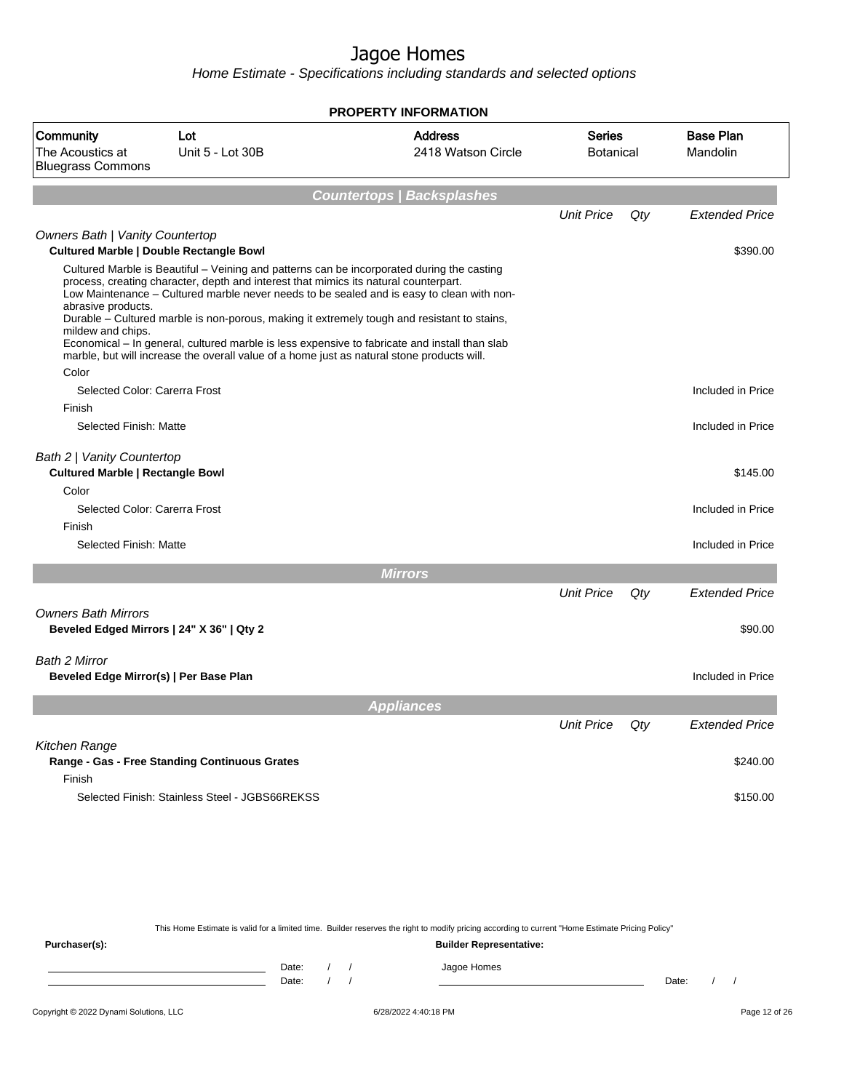Home Estimate - Specifications including standards and selected options

|                                                                                                                 |                                                                                                                                                                                                                                                                                                                                                                                                                                                                                                                                                                               | <b>PROPERTY INFORMATION</b>          |                            |     |                               |
|-----------------------------------------------------------------------------------------------------------------|-------------------------------------------------------------------------------------------------------------------------------------------------------------------------------------------------------------------------------------------------------------------------------------------------------------------------------------------------------------------------------------------------------------------------------------------------------------------------------------------------------------------------------------------------------------------------------|--------------------------------------|----------------------------|-----|-------------------------------|
| Community<br>The Acoustics at<br><b>Bluegrass Commons</b>                                                       | Lot<br>Unit 5 - Lot 30B                                                                                                                                                                                                                                                                                                                                                                                                                                                                                                                                                       | <b>Address</b><br>2418 Watson Circle | Series<br><b>Botanical</b> |     | <b>Base Plan</b><br>Mandolin  |
|                                                                                                                 |                                                                                                                                                                                                                                                                                                                                                                                                                                                                                                                                                                               | <b>Countertops   Backsplashes</b>    |                            |     |                               |
|                                                                                                                 |                                                                                                                                                                                                                                                                                                                                                                                                                                                                                                                                                                               |                                      | <b>Unit Price</b>          | Qty | <b>Extended Price</b>         |
| Owners Bath   Vanity Countertop<br><b>Cultured Marble   Double Rectangle Bowl</b>                               |                                                                                                                                                                                                                                                                                                                                                                                                                                                                                                                                                                               |                                      |                            |     | \$390.00                      |
| abrasive products.<br>mildew and chips.<br>Color                                                                | Cultured Marble is Beautiful – Veining and patterns can be incorporated during the casting<br>process, creating character, depth and interest that mimics its natural counterpart.<br>Low Maintenance - Cultured marble never needs to be sealed and is easy to clean with non-<br>Durable – Cultured marble is non-porous, making it extremely tough and resistant to stains,<br>Economical - In general, cultured marble is less expensive to fabricate and install than slab<br>marble, but will increase the overall value of a home just as natural stone products will. |                                      |                            |     |                               |
| Selected Color: Carerra Frost                                                                                   |                                                                                                                                                                                                                                                                                                                                                                                                                                                                                                                                                                               |                                      |                            |     | Included in Price             |
| Finish                                                                                                          |                                                                                                                                                                                                                                                                                                                                                                                                                                                                                                                                                                               |                                      |                            |     |                               |
| Selected Finish: Matte                                                                                          |                                                                                                                                                                                                                                                                                                                                                                                                                                                                                                                                                                               |                                      |                            |     | Included in Price             |
| Bath 2   Vanity Countertop<br><b>Cultured Marble   Rectangle Bowl</b><br>Color<br>Selected Color: Carerra Frost |                                                                                                                                                                                                                                                                                                                                                                                                                                                                                                                                                                               |                                      |                            |     | \$145.00<br>Included in Price |
| Finish                                                                                                          |                                                                                                                                                                                                                                                                                                                                                                                                                                                                                                                                                                               |                                      |                            |     |                               |
| Selected Finish: Matte                                                                                          |                                                                                                                                                                                                                                                                                                                                                                                                                                                                                                                                                                               |                                      |                            |     | Included in Price             |
|                                                                                                                 |                                                                                                                                                                                                                                                                                                                                                                                                                                                                                                                                                                               | <b>Mirrors</b>                       |                            |     |                               |
|                                                                                                                 |                                                                                                                                                                                                                                                                                                                                                                                                                                                                                                                                                                               |                                      | <b>Unit Price</b>          | Qty | <b>Extended Price</b>         |
| <b>Owners Bath Mirrors</b><br>Beveled Edged Mirrors   24" X 36"   Qty 2                                         |                                                                                                                                                                                                                                                                                                                                                                                                                                                                                                                                                                               |                                      |                            |     | \$90.00                       |
| Bath 2 Mirror<br>Beveled Edge Mirror(s)   Per Base Plan                                                         |                                                                                                                                                                                                                                                                                                                                                                                                                                                                                                                                                                               |                                      |                            |     | Included in Price             |
|                                                                                                                 |                                                                                                                                                                                                                                                                                                                                                                                                                                                                                                                                                                               | <b>Appliances</b>                    |                            |     |                               |
|                                                                                                                 |                                                                                                                                                                                                                                                                                                                                                                                                                                                                                                                                                                               |                                      | <b>Unit Price</b>          | Qty | <b>Extended Price</b>         |
| Kitchen Range<br>Finish                                                                                         | Range - Gas - Free Standing Continuous Grates                                                                                                                                                                                                                                                                                                                                                                                                                                                                                                                                 |                                      |                            |     | \$240.00                      |
|                                                                                                                 | Selected Finish: Stainless Steel - JGBS66REKSS                                                                                                                                                                                                                                                                                                                                                                                                                                                                                                                                |                                      |                            |     | \$150.00                      |

This Home Estimate is valid for a limited time. Builder reserves the right to modify pricing according to current "Home Estimate Pricing Policy"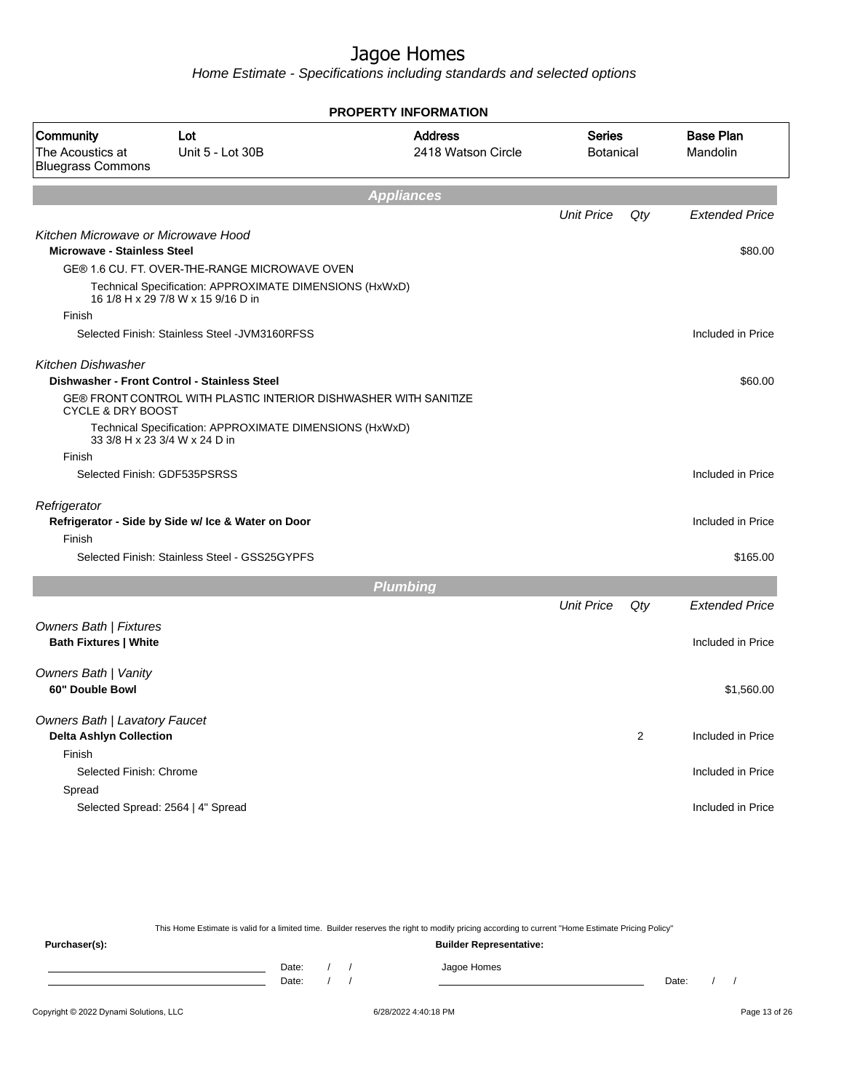Home Estimate - Specifications including standards and selected options

|                                                                           |                                                                                               | <b>PROPERTY INFORMATION</b>          |                                   |     |                              |
|---------------------------------------------------------------------------|-----------------------------------------------------------------------------------------------|--------------------------------------|-----------------------------------|-----|------------------------------|
| Community<br>The Acoustics at<br><b>Bluegrass Commons</b>                 | Lot<br>Unit 5 - Lot 30B                                                                       | <b>Address</b><br>2418 Watson Circle | <b>Series</b><br><b>Botanical</b> |     | <b>Base Plan</b><br>Mandolin |
|                                                                           |                                                                                               | <b>Appliances</b>                    |                                   |     |                              |
|                                                                           |                                                                                               |                                      | <b>Unit Price</b>                 | Qty | <b>Extended Price</b>        |
| Kitchen Microwave or Microwave Hood<br><b>Microwave - Stainless Steel</b> |                                                                                               |                                      |                                   |     | \$80.00                      |
|                                                                           | GE® 1.6 CU. FT. OVER-THE-RANGE MICROWAVE OVEN                                                 |                                      |                                   |     |                              |
|                                                                           | Technical Specification: APPROXIMATE DIMENSIONS (HxWxD)<br>16 1/8 H x 29 7/8 W x 15 9/16 D in |                                      |                                   |     |                              |
| Finish                                                                    |                                                                                               |                                      |                                   |     |                              |
|                                                                           | Selected Finish: Stainless Steel - JVM3160RFSS                                                |                                      |                                   |     | Included in Price            |
| <b>Kitchen Dishwasher</b>                                                 |                                                                                               |                                      |                                   |     |                              |
|                                                                           | Dishwasher - Front Control - Stainless Steel                                                  |                                      |                                   |     | \$60.00                      |
| <b>CYCLE &amp; DRY BOOST</b>                                              | GE® FRONT CONTROL WITH PLASTIC INTERIOR DISHWASHER WITH SANITIZE                              |                                      |                                   |     |                              |
|                                                                           | Technical Specification: APPROXIMATE DIMENSIONS (HxWxD)<br>33 3/8 H x 23 3/4 W x 24 D in      |                                      |                                   |     |                              |
| Finish                                                                    |                                                                                               |                                      |                                   |     |                              |
|                                                                           | Selected Finish: GDF535PSRSS                                                                  |                                      |                                   |     | Included in Price            |
| Refrigerator                                                              | Refrigerator - Side by Side w/ Ice & Water on Door                                            |                                      |                                   |     | Included in Price            |
| Finish                                                                    | Selected Finish: Stainless Steel - GSS25GYPFS                                                 |                                      |                                   |     | \$165.00                     |
|                                                                           |                                                                                               |                                      |                                   |     |                              |
|                                                                           |                                                                                               | <b>Plumbing</b>                      |                                   |     |                              |
|                                                                           |                                                                                               |                                      | <b>Unit Price</b>                 | Qty | <b>Extended Price</b>        |
| <b>Owners Bath   Fixtures</b><br><b>Bath Fixtures   White</b>             |                                                                                               |                                      |                                   |     | Included in Price            |
|                                                                           |                                                                                               |                                      |                                   |     |                              |
| <b>Owners Bath   Vanity</b><br>60" Double Bowl                            |                                                                                               |                                      |                                   |     |                              |
|                                                                           |                                                                                               |                                      |                                   |     | \$1,560.00                   |
| Owners Bath   Lavatory Faucet                                             |                                                                                               |                                      |                                   |     |                              |
| <b>Delta Ashlyn Collection</b>                                            |                                                                                               |                                      |                                   | 2   | Included in Price            |
| Finish<br>Selected Finish: Chrome                                         |                                                                                               |                                      |                                   |     | Included in Price            |
| Spread                                                                    |                                                                                               |                                      |                                   |     |                              |
|                                                                           | Selected Spread: 2564   4" Spread                                                             |                                      |                                   |     | Included in Price            |
|                                                                           |                                                                                               |                                      |                                   |     |                              |

This Home Estimate is valid for a limited time. Builder reserves the right to modify pricing according to current "Home Estimate Pricing Policy"

**Purchaser(s): Builder Representative:** Date: / / Jagoe Homes<br>Date: / / Jagoe Homes Date: / / **Date: / / 2006** Date: / / / Date: / / / Date: / / / 2006 Date: / / / 2006 Date: / / / 2006 Date: / / / 2006 Date: / / / 2007 Date: / / / 2007 Date: / / / 2007 Date: / / / 2007 Date: / / / 2007 Date: / / / 2007 D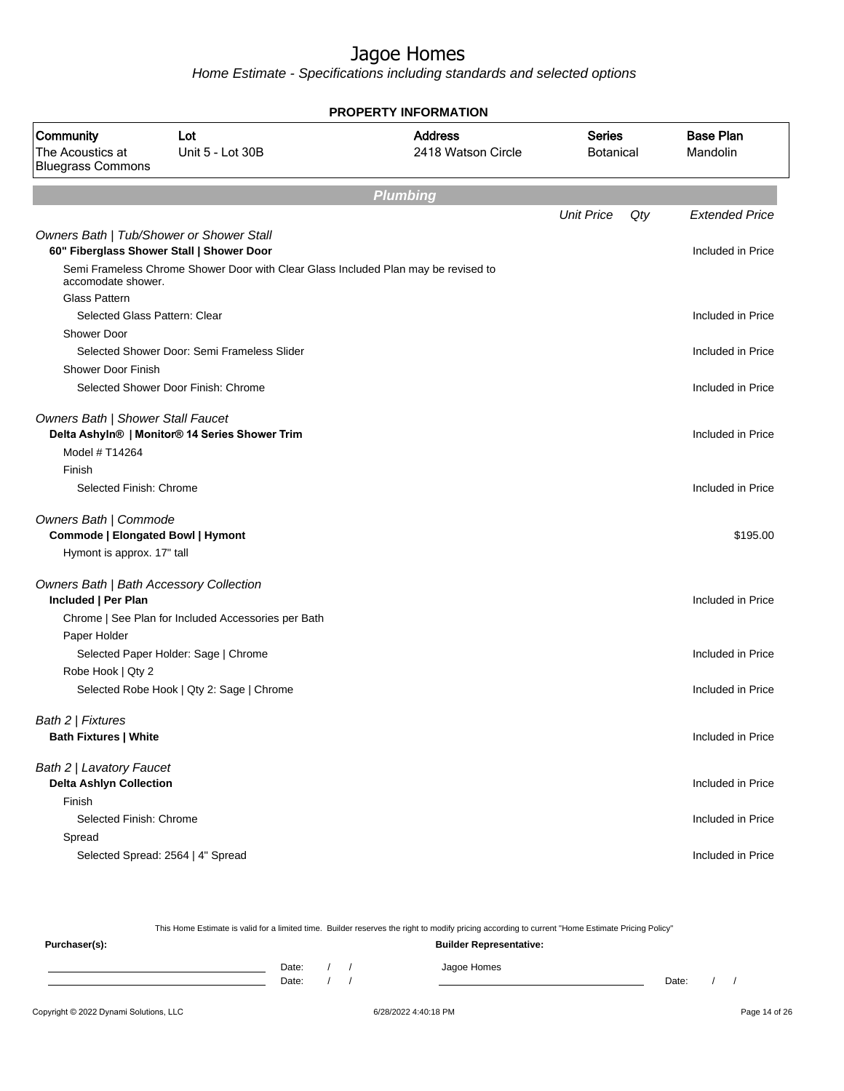Home Estimate - Specifications including standards and selected options

|                                                                |                                                                                    | <b>PROPERTY INFORMATION</b>          |                                   |     |                              |
|----------------------------------------------------------------|------------------------------------------------------------------------------------|--------------------------------------|-----------------------------------|-----|------------------------------|
| Community<br>The Acoustics at<br><b>Bluegrass Commons</b>      | Lot<br>Unit 5 - Lot 30B                                                            | <b>Address</b><br>2418 Watson Circle | <b>Series</b><br><b>Botanical</b> |     | <b>Base Plan</b><br>Mandolin |
|                                                                |                                                                                    | <b>Plumbing</b>                      |                                   |     |                              |
|                                                                |                                                                                    |                                      | <b>Unit Price</b>                 | Qty | <b>Extended Price</b>        |
| Owners Bath   Tub/Shower or Shower Stall                       |                                                                                    |                                      |                                   |     |                              |
|                                                                | 60" Fiberglass Shower Stall   Shower Door                                          |                                      |                                   |     | Included in Price            |
| accomodate shower.                                             | Semi Frameless Chrome Shower Door with Clear Glass Included Plan may be revised to |                                      |                                   |     |                              |
| Glass Pattern                                                  |                                                                                    |                                      |                                   |     |                              |
| Selected Glass Pattern: Clear                                  |                                                                                    |                                      |                                   |     | Included in Price            |
| <b>Shower Door</b>                                             |                                                                                    |                                      |                                   |     |                              |
|                                                                | Selected Shower Door: Semi Frameless Slider                                        |                                      |                                   |     | Included in Price            |
| <b>Shower Door Finish</b>                                      |                                                                                    |                                      |                                   |     |                              |
|                                                                | Selected Shower Door Finish: Chrome                                                |                                      |                                   |     | Included in Price            |
| Owners Bath   Shower Stall Faucet                              | Delta Ashyln®   Monitor® 14 Series Shower Trim                                     |                                      |                                   |     | Included in Price            |
| Model # T14264                                                 |                                                                                    |                                      |                                   |     |                              |
| Finish                                                         |                                                                                    |                                      |                                   |     |                              |
| Selected Finish: Chrome                                        |                                                                                    |                                      |                                   |     | Included in Price            |
| Owners Bath   Commode<br>Commode   Elongated Bowl   Hymont     |                                                                                    |                                      |                                   |     | \$195.00                     |
| Hymont is approx. 17" tall                                     |                                                                                    |                                      |                                   |     |                              |
| Owners Bath   Bath Accessory Collection<br>Included   Per Plan |                                                                                    |                                      |                                   |     | Included in Price            |
|                                                                | Chrome   See Plan for Included Accessories per Bath                                |                                      |                                   |     |                              |
| Paper Holder                                                   |                                                                                    |                                      |                                   |     |                              |
|                                                                | Selected Paper Holder: Sage   Chrome                                               |                                      |                                   |     | Included in Price            |
| Robe Hook   Qty 2                                              |                                                                                    |                                      |                                   |     |                              |
|                                                                | Selected Robe Hook   Qty 2: Sage   Chrome                                          |                                      |                                   |     | Included in Price            |
| Bath 2   Fixtures                                              |                                                                                    |                                      |                                   |     |                              |
| <b>Bath Fixtures   White</b>                                   |                                                                                    |                                      |                                   |     | Included in Price            |
| Bath 2   Lavatory Faucet                                       |                                                                                    |                                      |                                   |     |                              |
| <b>Delta Ashlyn Collection</b>                                 |                                                                                    |                                      |                                   |     | Included in Price            |
| Finish                                                         |                                                                                    |                                      |                                   |     |                              |
| Selected Finish: Chrome                                        |                                                                                    |                                      |                                   |     | Included in Price            |
| Spread                                                         |                                                                                    |                                      |                                   |     |                              |
|                                                                | Selected Spread: 2564   4" Spread                                                  |                                      |                                   |     | Included in Price            |
|                                                                |                                                                                    |                                      |                                   |     |                              |

Copyright © 2022 Dynami Solutions, LLC <br>
6/28/2022 4:40:18 PM Page 14 of 26 This Home Estimate is valid for a limited time. Builder reserves the right to modify pricing according to current "Home Estimate Pricing Policy" **Purchaser(s): Builder Representative:** Date: / / Jagoe Homes<br>Date: / / Jagoe Homes Date: / / **Date: / / 2006** Date: / / / Date: / / / Date: / / / 2006 Date: / / / 2006 Date: / / / 2006 Date: / / / 2006 Date: / / / 2007 Date: / / / 2007 Date: / / / 2007 Date: / / / 2007 Date: / / / 2007 Date: / / / 2007 D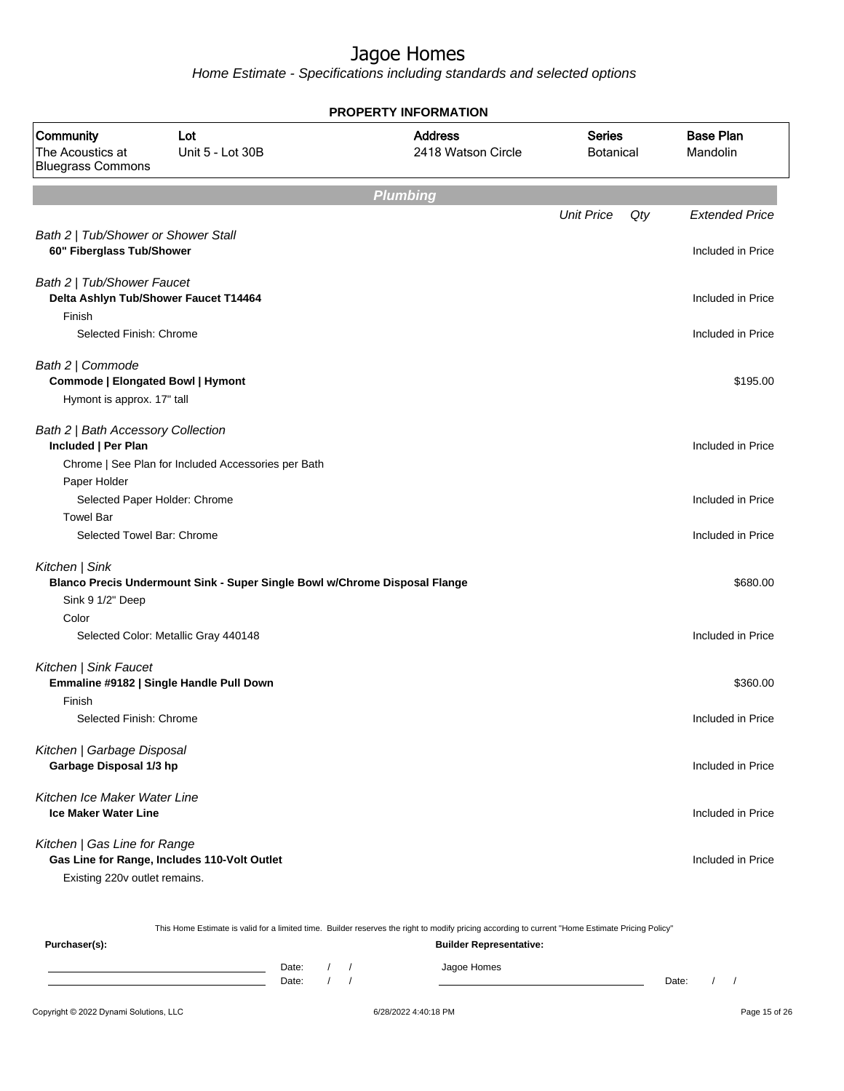Home Estimate - Specifications including standards and selected options

|                                                                                     |                                                                            | <b>PROPERTY INFORMATION</b>          |                                   |                              |
|-------------------------------------------------------------------------------------|----------------------------------------------------------------------------|--------------------------------------|-----------------------------------|------------------------------|
| Community<br>The Acoustics at<br><b>Bluegrass Commons</b>                           | Lot<br>Unit 5 - Lot 30B                                                    | <b>Address</b><br>2418 Watson Circle | <b>Series</b><br><b>Botanical</b> | <b>Base Plan</b><br>Mandolin |
|                                                                                     |                                                                            | <b>Plumbing</b>                      |                                   |                              |
|                                                                                     |                                                                            |                                      | <b>Unit Price</b>                 | Qty<br><b>Extended Price</b> |
| Bath 2   Tub/Shower or Shower Stall<br>60" Fiberglass Tub/Shower                    |                                                                            |                                      |                                   | Included in Price            |
| Bath 2   Tub/Shower Faucet<br>Delta Ashlyn Tub/Shower Faucet T14464                 |                                                                            |                                      |                                   | Included in Price            |
| Finish<br>Selected Finish: Chrome                                                   |                                                                            |                                      |                                   | Included in Price            |
| Bath 2   Commode<br>Commode   Elongated Bowl   Hymont<br>Hymont is approx. 17" tall |                                                                            |                                      |                                   | \$195.00                     |
| Bath 2   Bath Accessory Collection<br>Included   Per Plan                           | Chrome   See Plan for Included Accessories per Bath                        |                                      |                                   | Included in Price            |
| Paper Holder<br>Selected Paper Holder: Chrome                                       |                                                                            |                                      |                                   | Included in Price            |
| <b>Towel Bar</b><br>Selected Towel Bar: Chrome                                      |                                                                            |                                      |                                   | Included in Price            |
| Kitchen   Sink<br>Sink 9 1/2" Deep                                                  | Blanco Precis Undermount Sink - Super Single Bowl w/Chrome Disposal Flange |                                      |                                   | \$680.00                     |
| Color                                                                               | Selected Color: Metallic Gray 440148                                       |                                      |                                   | Included in Price            |
| Kitchen   Sink Faucet<br>Emmaline #9182   Single Handle Pull Down                   |                                                                            |                                      |                                   | \$360.00                     |
| Finish<br>Selected Finish: Chrome                                                   |                                                                            |                                      |                                   | Included in Price            |
| Kitchen   Garbage Disposal<br>Garbage Disposal 1/3 hp                               |                                                                            |                                      |                                   | Included in Price            |
| Kitchen Ice Maker Water Line<br><b>Ice Maker Water Line</b>                         |                                                                            |                                      |                                   | Included in Price            |
| Kitchen   Gas Line for Range<br>Existing 220v outlet remains.                       | Gas Line for Range, Includes 110-Volt Outlet                               |                                      |                                   | Included in Price            |

This Home Estimate is valid for a limited time. Builder reserves the right to modify pricing according to current "Home Estimate Pricing Policy"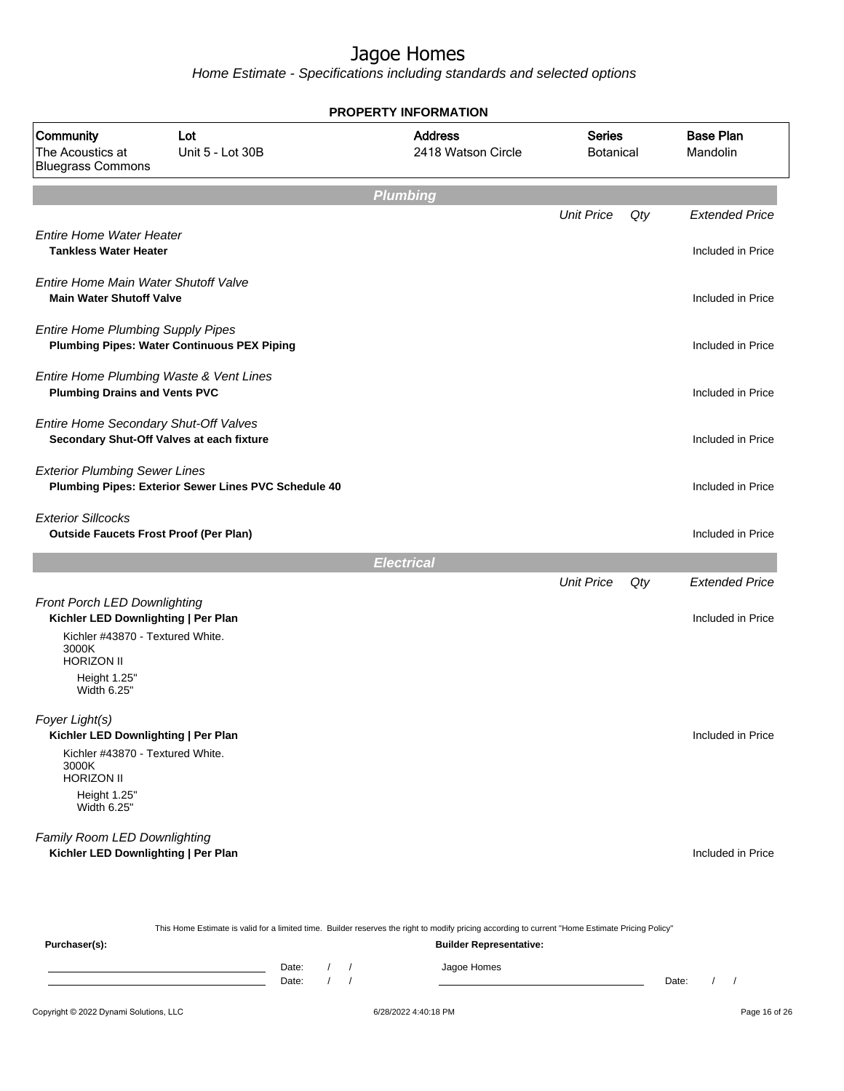Home Estimate - Specifications including standards and selected options

|                                                                                                                  |                                                      | <b>PROPERTY INFORMATION</b>          |                                   |     |                              |
|------------------------------------------------------------------------------------------------------------------|------------------------------------------------------|--------------------------------------|-----------------------------------|-----|------------------------------|
| Community<br>The Acoustics at<br><b>Bluegrass Commons</b>                                                        | Lot<br>Unit 5 - Lot 30B                              | <b>Address</b><br>2418 Watson Circle | <b>Series</b><br><b>Botanical</b> |     | <b>Base Plan</b><br>Mandolin |
|                                                                                                                  |                                                      | <b>Plumbing</b>                      |                                   |     |                              |
|                                                                                                                  |                                                      |                                      | <b>Unit Price</b>                 | Qty | <b>Extended Price</b>        |
| <b>Entire Home Water Heater</b><br><b>Tankless Water Heater</b>                                                  |                                                      |                                      |                                   |     | Included in Price            |
| Entire Home Main Water Shutoff Valve<br><b>Main Water Shutoff Valve</b>                                          |                                                      |                                      |                                   |     | Included in Price            |
| <b>Entire Home Plumbing Supply Pipes</b>                                                                         | <b>Plumbing Pipes: Water Continuous PEX Piping</b>   |                                      |                                   |     | Included in Price            |
| Entire Home Plumbing Waste & Vent Lines<br><b>Plumbing Drains and Vents PVC</b>                                  |                                                      |                                      |                                   |     | Included in Price            |
| Entire Home Secondary Shut-Off Valves<br>Secondary Shut-Off Valves at each fixture                               |                                                      |                                      |                                   |     | Included in Price            |
| <b>Exterior Plumbing Sewer Lines</b>                                                                             | Plumbing Pipes: Exterior Sewer Lines PVC Schedule 40 |                                      |                                   |     | Included in Price            |
| <b>Exterior Sillcocks</b><br><b>Outside Faucets Frost Proof (Per Plan)</b>                                       |                                                      |                                      |                                   |     | Included in Price            |
|                                                                                                                  |                                                      | <b>Electrical</b>                    |                                   |     |                              |
|                                                                                                                  |                                                      |                                      | <b>Unit Price</b>                 | Qty | <b>Extended Price</b>        |
| Front Porch LED Downlighting<br>Kichler LED Downlighting   Per Plan<br>Kichler #43870 - Textured White.<br>3000K |                                                      |                                      |                                   |     | Included in Price            |
| <b>HORIZON II</b><br>Height 1.25"<br>Width 6.25"                                                                 |                                                      |                                      |                                   |     |                              |
| Foyer Light(s)<br>Kichler LED Downlighting   Per Plan                                                            |                                                      |                                      |                                   |     | Included in Price            |
| Kichler #43870 - Textured White.<br>3000K<br><b>HORIZON II</b>                                                   |                                                      |                                      |                                   |     |                              |
| Height 1.25"<br>Width 6.25"                                                                                      |                                                      |                                      |                                   |     |                              |
| Family Room LED Downlighting<br>Kichler LED Downlighting   Per Plan                                              |                                                      |                                      |                                   |     | Included in Price            |
|                                                                                                                  |                                                      |                                      |                                   |     |                              |

This Home Estimate is valid for a limited time. Builder reserves the right to modify pricing according to current "Home Estimate Pricing Policy"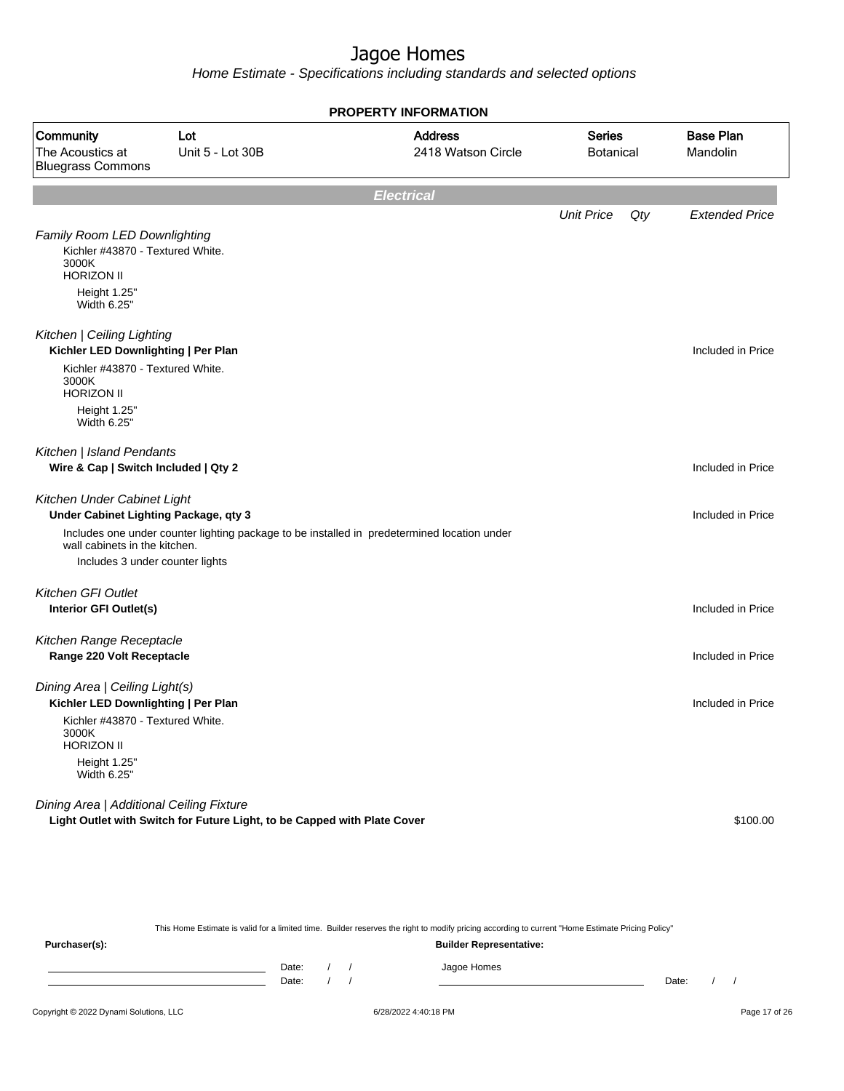Home Estimate - Specifications including standards and selected options

|                                                                                                                                      |                                                                                             | <b>PROPERTY INFORMATION</b> |                                   |     |                              |  |
|--------------------------------------------------------------------------------------------------------------------------------------|---------------------------------------------------------------------------------------------|-----------------------------|-----------------------------------|-----|------------------------------|--|
| Community<br>The Acoustics at<br><b>Bluegrass Commons</b>                                                                            | <b>Address</b><br>Lot<br>2418 Watson Circle<br>Unit 5 - Lot 30B                             |                             | <b>Series</b><br><b>Botanical</b> |     | <b>Base Plan</b><br>Mandolin |  |
|                                                                                                                                      |                                                                                             | <b>Electrical</b>           |                                   |     |                              |  |
|                                                                                                                                      |                                                                                             |                             | <b>Unit Price</b>                 | Qty | <b>Extended Price</b>        |  |
| <b>Family Room LED Downlighting</b><br>Kichler #43870 - Textured White.<br>3000K<br><b>HORIZON II</b><br>Height 1.25"<br>Width 6.25" |                                                                                             |                             |                                   |     |                              |  |
| Kitchen   Ceiling Lighting<br>Kichler LED Downlighting   Per Plan                                                                    |                                                                                             |                             |                                   |     | Included in Price            |  |
| Kichler #43870 - Textured White.<br>3000K<br><b>HORIZON II</b>                                                                       |                                                                                             |                             |                                   |     |                              |  |
| Height 1.25"<br>Width 6.25"                                                                                                          |                                                                                             |                             |                                   |     |                              |  |
| Kitchen   Island Pendants<br>Wire & Cap   Switch Included   Qty 2                                                                    |                                                                                             |                             |                                   |     | Included in Price            |  |
| Kitchen Under Cabinet Light<br>Under Cabinet Lighting Package, qty 3                                                                 |                                                                                             |                             |                                   |     | Included in Price            |  |
| wall cabinets in the kitchen.                                                                                                        | Includes one under counter lighting package to be installed in predetermined location under |                             |                                   |     |                              |  |
| Includes 3 under counter lights                                                                                                      |                                                                                             |                             |                                   |     |                              |  |
| Kitchen GFI Outlet                                                                                                                   |                                                                                             |                             |                                   |     |                              |  |
| <b>Interior GFI Outlet(s)</b>                                                                                                        |                                                                                             |                             |                                   |     | Included in Price            |  |
| Kitchen Range Receptacle<br>Range 220 Volt Receptacle                                                                                |                                                                                             |                             |                                   |     | Included in Price            |  |
| Dining Area   Ceiling Light(s)<br>Kichler LED Downlighting   Per Plan                                                                |                                                                                             |                             |                                   |     | Included in Price            |  |
| Kichler #43870 - Textured White.<br>3000K<br><b>HORIZON II</b>                                                                       |                                                                                             |                             |                                   |     |                              |  |
| Height 1.25"<br>Width 6.25"                                                                                                          |                                                                                             |                             |                                   |     |                              |  |
| Dining Area   Additional Ceiling Fixture                                                                                             |                                                                                             |                             |                                   |     |                              |  |
|                                                                                                                                      | Light Outlet with Switch for Future Light, to be Capped with Plate Cover                    |                             |                                   |     | \$100.00                     |  |

This Home Estimate is valid for a limited time. Builder reserves the right to modify pricing according to current "Home Estimate Pricing Policy"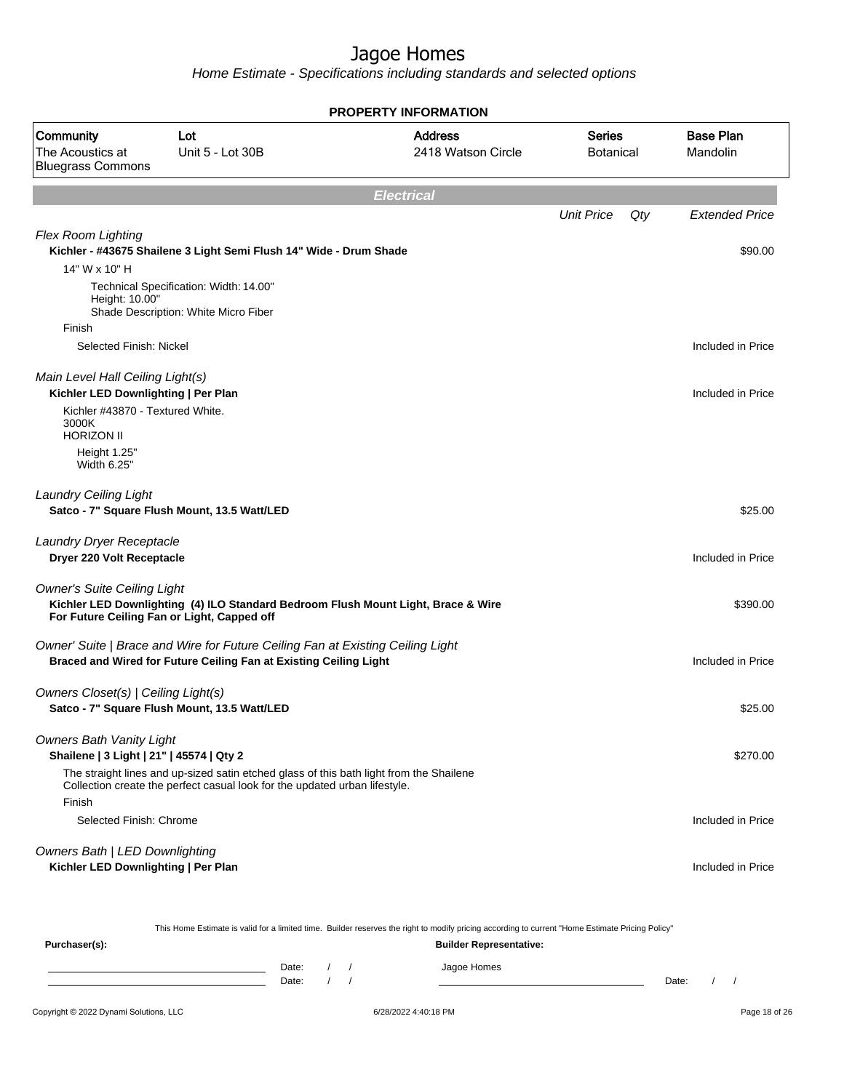Home Estimate - Specifications including standards and selected options

|                                                                                               |                                                                                                                                                                       | <b>PROPERTY INFORMATION</b>                                                       |                                   |     |                              |
|-----------------------------------------------------------------------------------------------|-----------------------------------------------------------------------------------------------------------------------------------------------------------------------|-----------------------------------------------------------------------------------|-----------------------------------|-----|------------------------------|
| Community<br>The Acoustics at<br><b>Bluegrass Commons</b>                                     | Lot<br>Unit 5 - Lot 30B                                                                                                                                               | <b>Address</b><br>2418 Watson Circle                                              | <b>Series</b><br><b>Botanical</b> |     | <b>Base Plan</b><br>Mandolin |
|                                                                                               |                                                                                                                                                                       | <b>Electrical</b>                                                                 |                                   |     |                              |
|                                                                                               |                                                                                                                                                                       |                                                                                   | <b>Unit Price</b>                 | Qty | <b>Extended Price</b>        |
| <b>Flex Room Lighting</b><br>14" W x 10" H                                                    | Kichler - #43675 Shailene 3 Light Semi Flush 14" Wide - Drum Shade                                                                                                    |                                                                                   |                                   |     | \$90.00                      |
| Height: 10.00"                                                                                | Technical Specification: Width: 14.00"<br>Shade Description: White Micro Fiber                                                                                        |                                                                                   |                                   |     |                              |
| Finish                                                                                        |                                                                                                                                                                       |                                                                                   |                                   |     |                              |
| Selected Finish: Nickel                                                                       |                                                                                                                                                                       |                                                                                   |                                   |     | Included in Price            |
| Main Level Hall Ceiling Light(s)<br>Kichler LED Downlighting   Per Plan                       |                                                                                                                                                                       |                                                                                   |                                   |     | Included in Price            |
| Kichler #43870 - Textured White.<br>3000K<br><b>HORIZON II</b><br>Height 1.25"<br>Width 6.25" |                                                                                                                                                                       |                                                                                   |                                   |     |                              |
| <b>Laundry Ceiling Light</b>                                                                  | Satco - 7" Square Flush Mount, 13.5 Watt/LED                                                                                                                          |                                                                                   |                                   |     | \$25.00                      |
| Laundry Dryer Receptacle<br>Dryer 220 Volt Receptacle                                         |                                                                                                                                                                       |                                                                                   |                                   |     | Included in Price            |
| <b>Owner's Suite Ceiling Light</b><br>For Future Ceiling Fan or Light, Capped off             |                                                                                                                                                                       | Kichler LED Downlighting (4) ILO Standard Bedroom Flush Mount Light, Brace & Wire |                                   |     | \$390.00                     |
|                                                                                               | Owner' Suite   Brace and Wire for Future Ceiling Fan at Existing Ceiling Light<br>Braced and Wired for Future Ceiling Fan at Existing Ceiling Light                   |                                                                                   |                                   |     | Included in Price            |
| Owners Closet(s)   Ceiling Light(s)                                                           | Satco - 7" Square Flush Mount, 13.5 Watt/LED                                                                                                                          |                                                                                   |                                   |     | \$25.00                      |
| <b>Owners Bath Vanity Light</b><br>Shailene   3 Light   21"   45574   Qty 2                   |                                                                                                                                                                       |                                                                                   |                                   |     | \$270.00                     |
| Finish                                                                                        | The straight lines and up-sized satin etched glass of this bath light from the Shailene<br>Collection create the perfect casual look for the updated urban lifestyle. |                                                                                   |                                   |     |                              |
| Selected Finish: Chrome                                                                       |                                                                                                                                                                       |                                                                                   |                                   |     | Included in Price            |
| <b>Owners Bath   LED Downlighting</b><br>Kichler LED Downlighting   Per Plan                  |                                                                                                                                                                       |                                                                                   |                                   |     | Included in Price            |

This Home Estimate is valid for a limited time. Builder reserves the right to modify pricing according to current "Home Estimate Pricing Policy"

| Purchaser(s): |                |  | <b>Builder Representative:</b> |       |  |
|---------------|----------------|--|--------------------------------|-------|--|
|               | Date:<br>Date: |  | Jagoe Homes                    | Date: |  |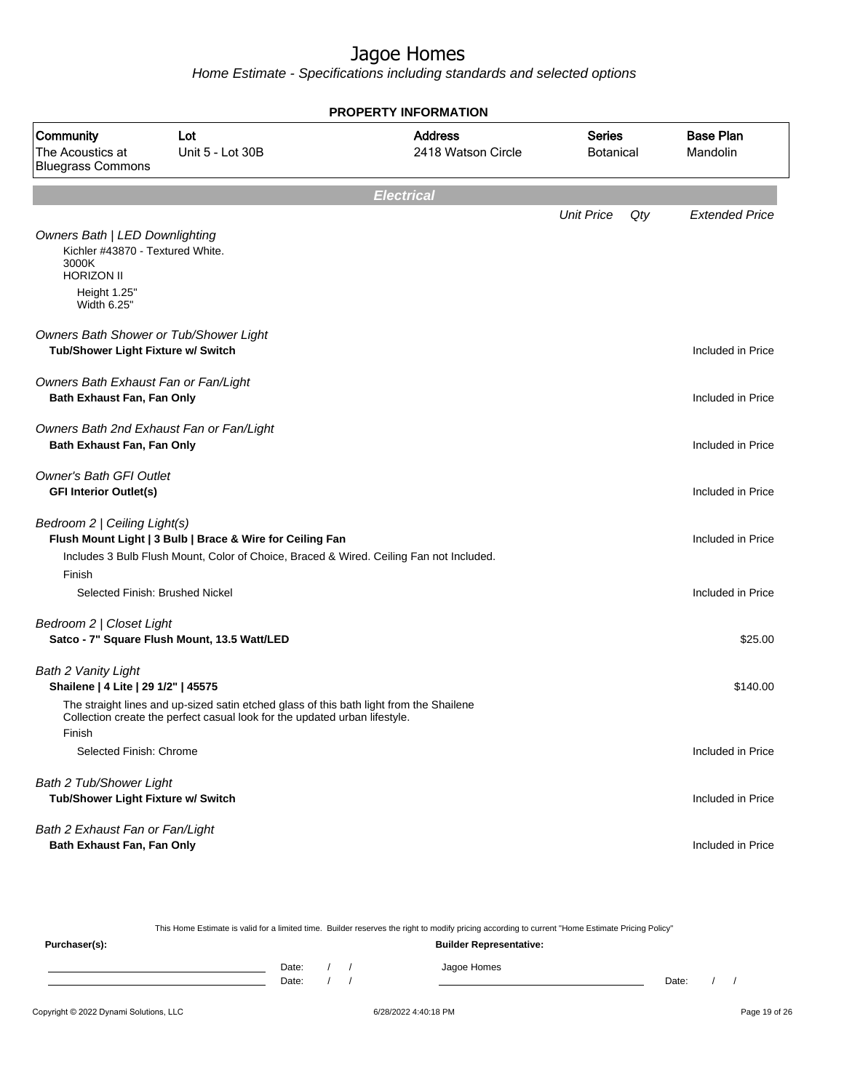Home Estimate - Specifications including standards and selected options

|                                                                                                                         |                                                                                                                                                                       | <b>PROPERTY INFORMATION</b>          |                            |     |                              |
|-------------------------------------------------------------------------------------------------------------------------|-----------------------------------------------------------------------------------------------------------------------------------------------------------------------|--------------------------------------|----------------------------|-----|------------------------------|
| Community<br>The Acoustics at<br><b>Bluegrass Commons</b>                                                               | Lot<br>Unit 5 - Lot 30B                                                                                                                                               | <b>Address</b><br>2418 Watson Circle | <b>Series</b><br>Botanical |     | <b>Base Plan</b><br>Mandolin |
|                                                                                                                         |                                                                                                                                                                       | <b>Electrical</b>                    |                            |     |                              |
| <b>Owners Bath   LED Downlighting</b><br>Kichler #43870 - Textured White.<br>3000K<br><b>HORIZON II</b><br>Height 1.25" |                                                                                                                                                                       |                                      | <b>Unit Price</b>          | Qty | <b>Extended Price</b>        |
| Width 6.25"                                                                                                             |                                                                                                                                                                       |                                      |                            |     |                              |
| Owners Bath Shower or Tub/Shower Light<br>Tub/Shower Light Fixture w/ Switch                                            |                                                                                                                                                                       |                                      |                            |     | Included in Price            |
| Owners Bath Exhaust Fan or Fan/Light<br>Bath Exhaust Fan, Fan Only                                                      |                                                                                                                                                                       |                                      |                            |     | Included in Price            |
| Owners Bath 2nd Exhaust Fan or Fan/Light<br>Bath Exhaust Fan, Fan Only                                                  |                                                                                                                                                                       |                                      |                            |     | Included in Price            |
| <b>Owner's Bath GFI Outlet</b><br><b>GFI Interior Outlet(s)</b>                                                         |                                                                                                                                                                       |                                      |                            |     | Included in Price            |
| Bedroom 2   Ceiling Light(s)                                                                                            | Flush Mount Light   3 Bulb   Brace & Wire for Ceiling Fan<br>Includes 3 Bulb Flush Mount, Color of Choice, Braced & Wired. Ceiling Fan not Included.                  |                                      |                            |     | Included in Price            |
| Finish<br>Selected Finish: Brushed Nickel                                                                               |                                                                                                                                                                       |                                      |                            |     | Included in Price            |
| Bedroom 2   Closet Light                                                                                                | Satco - 7" Square Flush Mount, 13.5 Watt/LED                                                                                                                          |                                      |                            |     | \$25.00                      |
| Bath 2 Vanity Light<br>Shailene   4 Lite   29 1/2"   45575                                                              |                                                                                                                                                                       |                                      |                            |     | \$140.00                     |
| Finish                                                                                                                  | The straight lines and up-sized satin etched glass of this bath light from the Shailene<br>Collection create the perfect casual look for the updated urban lifestyle. |                                      |                            |     |                              |
| Selected Finish: Chrome                                                                                                 |                                                                                                                                                                       |                                      |                            |     | Included in Price            |
| Bath 2 Tub/Shower Light<br>Tub/Shower Light Fixture w/ Switch                                                           |                                                                                                                                                                       |                                      |                            |     | Included in Price            |
| Bath 2 Exhaust Fan or Fan/Light<br>Bath Exhaust Fan, Fan Only                                                           |                                                                                                                                                                       |                                      |                            |     | Included in Price            |

This Home Estimate is valid for a limited time. Builder reserves the right to modify pricing according to current "Home Estimate Pricing Policy" **Purchaser(s): Builder Representative:** Date: / / Jagoe Homes<br>Date: / / Jagoe Homes Date: / / Date: / /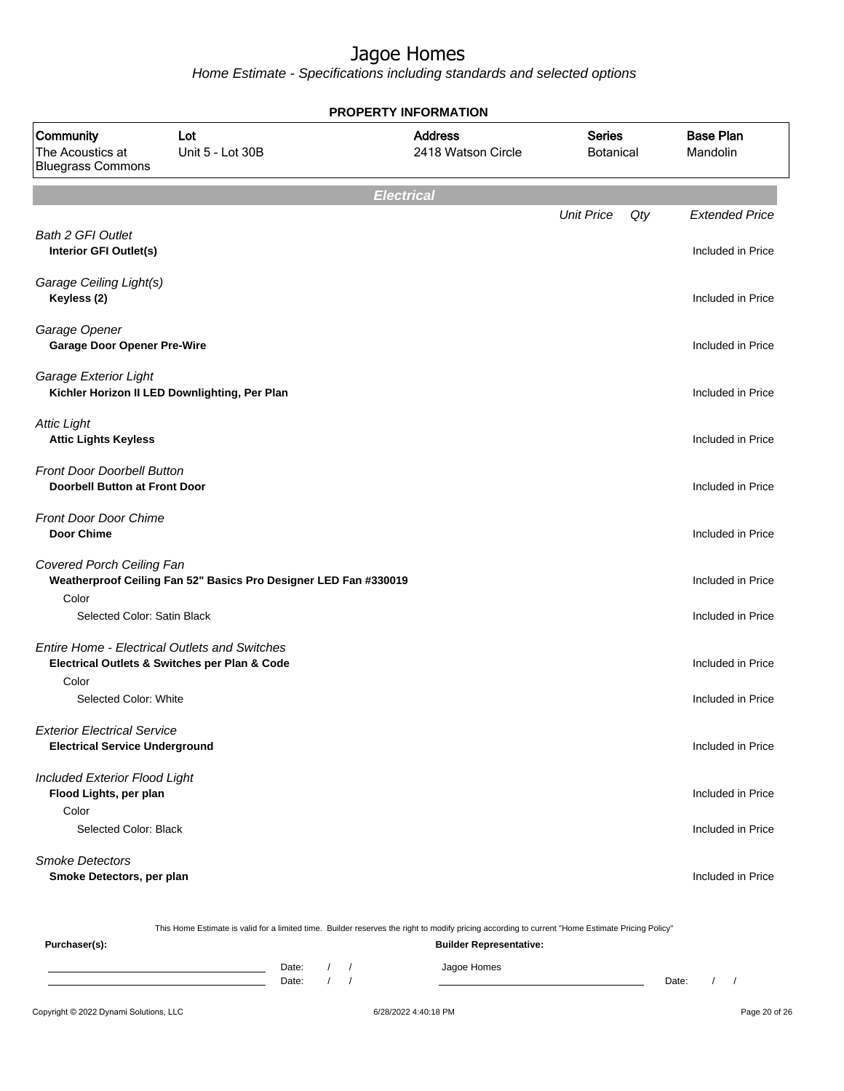Home Estimate - Specifications including standards and selected options

|                                                                             |                                                                  | <b>PROPERTY INFORMATION</b>          |                                   |     |                              |
|-----------------------------------------------------------------------------|------------------------------------------------------------------|--------------------------------------|-----------------------------------|-----|------------------------------|
| Community<br>The Acoustics at<br><b>Bluegrass Commons</b>                   | Lot<br>Unit 5 - Lot 30B                                          | <b>Address</b><br>2418 Watson Circle | <b>Series</b><br><b>Botanical</b> |     | <b>Base Plan</b><br>Mandolin |
|                                                                             |                                                                  | <b>Electrical</b>                    |                                   |     |                              |
|                                                                             |                                                                  |                                      | <b>Unit Price</b>                 | Qty | <b>Extended Price</b>        |
| <b>Bath 2 GFI Outlet</b><br>Interior GFI Outlet(s)                          |                                                                  |                                      |                                   |     | Included in Price            |
| Garage Ceiling Light(s)<br>Keyless (2)                                      |                                                                  |                                      |                                   |     | Included in Price            |
| Garage Opener<br><b>Garage Door Opener Pre-Wire</b>                         |                                                                  |                                      |                                   |     | Included in Price            |
| Garage Exterior Light<br>Kichler Horizon II LED Downlighting, Per Plan      |                                                                  |                                      |                                   |     | Included in Price            |
| <b>Attic Light</b><br><b>Attic Lights Keyless</b>                           |                                                                  |                                      |                                   |     | Included in Price            |
| <b>Front Door Doorbell Button</b><br><b>Doorbell Button at Front Door</b>   |                                                                  |                                      |                                   |     | Included in Price            |
| <b>Front Door Door Chime</b><br><b>Door Chime</b>                           |                                                                  |                                      |                                   |     | Included in Price            |
| Covered Porch Ceiling Fan<br>Color                                          | Weatherproof Ceiling Fan 52" Basics Pro Designer LED Fan #330019 |                                      |                                   |     | Included in Price            |
| Selected Color: Satin Black                                                 |                                                                  |                                      |                                   |     | Included in Price            |
| <b>Entire Home - Electrical Outlets and Switches</b>                        |                                                                  |                                      |                                   |     |                              |
| Electrical Outlets & Switches per Plan & Code<br>Color                      |                                                                  |                                      |                                   |     | Included in Price            |
| Selected Color: White                                                       |                                                                  |                                      |                                   |     | Included in Price            |
| <b>Exterior Electrical Service</b><br><b>Electrical Service Underground</b> |                                                                  |                                      |                                   |     | Included in Price            |
| <b>Included Exterior Flood Light</b><br>Flood Lights, per plan              |                                                                  |                                      |                                   |     | Included in Price            |
| Color<br>Selected Color: Black                                              |                                                                  |                                      |                                   |     | Included in Price            |
| <b>Smoke Detectors</b><br>Smoke Detectors, per plan                         |                                                                  |                                      |                                   |     | Included in Price            |

This Home Estimate is valid for a limited time. Builder reserves the right to modify pricing according to current "Home Estimate Pricing Policy"

**Purchaser(s): Builder Representative:** Date: / / Jagoe Homes<br>Date: / / Jagoe Homes Date: / / **Date: / / 2006** Date: / / / Date: / / / Date: / / / 2006 Date: / / / 2006 Date: / / / 2006 Date: / / / 2006 Date: / / / 2007 Date: / / / 2007 Date: / / / 2007 Date: / / / 2007 Date: / / / 2007 Date: / / / 2007 D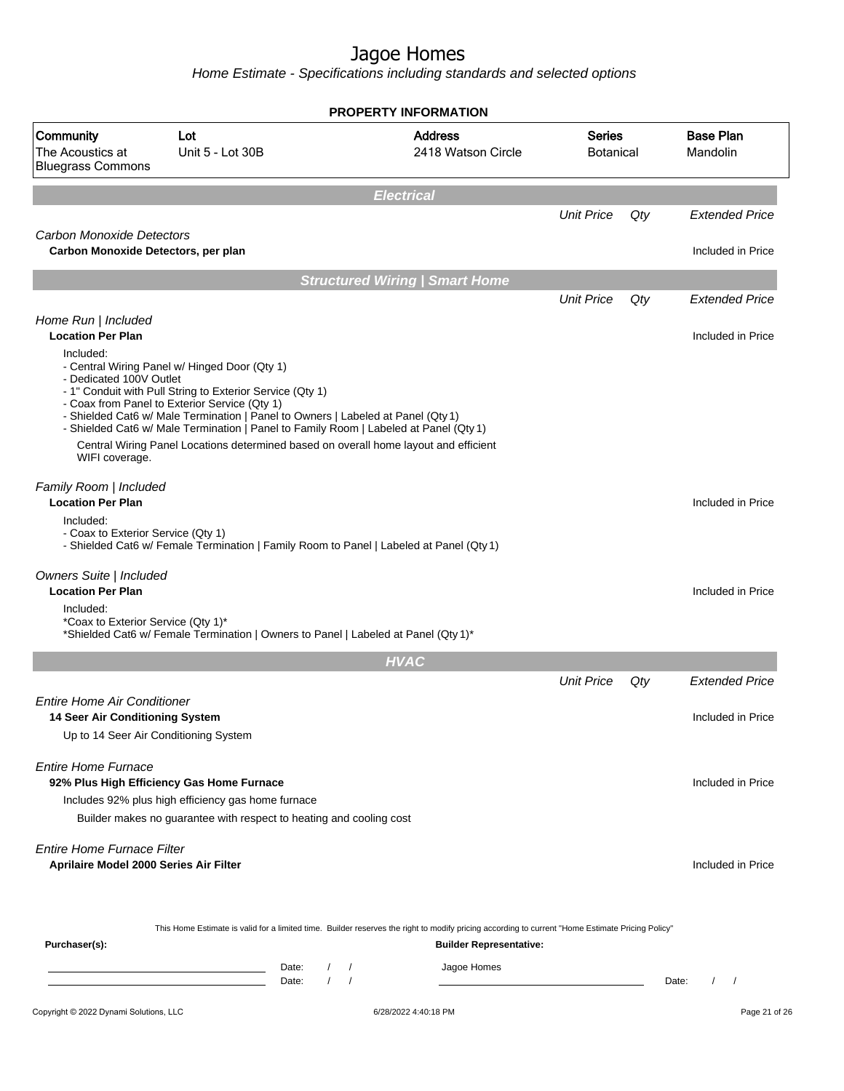Home Estimate - Specifications including standards and selected options

|                                                                              |                                                                                                                                                                                                                                                                                                                                                                                                                                  | <b>PROPERTY INFORMATION</b>           |                                |                                   |       |                              |
|------------------------------------------------------------------------------|----------------------------------------------------------------------------------------------------------------------------------------------------------------------------------------------------------------------------------------------------------------------------------------------------------------------------------------------------------------------------------------------------------------------------------|---------------------------------------|--------------------------------|-----------------------------------|-------|------------------------------|
| Community<br>The Acoustics at<br><b>Bluegrass Commons</b>                    | Lot<br>Unit 5 - Lot 30B                                                                                                                                                                                                                                                                                                                                                                                                          | <b>Address</b>                        | 2418 Watson Circle             | <b>Series</b><br><b>Botanical</b> |       | <b>Base Plan</b><br>Mandolin |
|                                                                              |                                                                                                                                                                                                                                                                                                                                                                                                                                  | <b>Electrical</b>                     |                                |                                   |       |                              |
|                                                                              |                                                                                                                                                                                                                                                                                                                                                                                                                                  |                                       |                                | <b>Unit Price</b>                 | Qty   | <b>Extended Price</b>        |
| Carbon Monoxide Detectors<br>Carbon Monoxide Detectors, per plan             |                                                                                                                                                                                                                                                                                                                                                                                                                                  |                                       |                                |                                   |       | Included in Price            |
|                                                                              |                                                                                                                                                                                                                                                                                                                                                                                                                                  | <b>Structured Wiring   Smart Home</b> |                                |                                   |       |                              |
|                                                                              |                                                                                                                                                                                                                                                                                                                                                                                                                                  |                                       |                                | <b>Unit Price</b>                 | Qty   | <b>Extended Price</b>        |
| Home Run   Included<br><b>Location Per Plan</b>                              |                                                                                                                                                                                                                                                                                                                                                                                                                                  |                                       |                                |                                   |       | Included in Price            |
| Included:<br>- Dedicated 100V Outlet<br>WIFI coverage.                       | - Central Wiring Panel w/ Hinged Door (Qty 1)<br>- 1" Conduit with Pull String to Exterior Service (Qty 1)<br>- Coax from Panel to Exterior Service (Qty 1)<br>- Shielded Cat6 w/ Male Termination   Panel to Owners   Labeled at Panel (Qty 1)<br>- Shielded Cat6 w/ Male Termination   Panel to Family Room   Labeled at Panel (Qty 1)<br>Central Wiring Panel Locations determined based on overall home layout and efficient |                                       |                                |                                   |       |                              |
| Family Room   Included<br><b>Location Per Plan</b>                           |                                                                                                                                                                                                                                                                                                                                                                                                                                  |                                       |                                |                                   |       | Included in Price            |
| Included:<br>- Coax to Exterior Service (Qty 1)                              | - Shielded Cat6 w/ Female Termination   Family Room to Panel   Labeled at Panel (Qty 1)                                                                                                                                                                                                                                                                                                                                          |                                       |                                |                                   |       |                              |
| Owners Suite   Included<br><b>Location Per Plan</b>                          |                                                                                                                                                                                                                                                                                                                                                                                                                                  |                                       |                                |                                   |       | Included in Price            |
| Included:<br>*Coax to Exterior Service (Qty 1)*                              | *Shielded Cat6 w/ Female Termination   Owners to Panel   Labeled at Panel (Qty 1)*                                                                                                                                                                                                                                                                                                                                               |                                       |                                |                                   |       |                              |
|                                                                              |                                                                                                                                                                                                                                                                                                                                                                                                                                  | <b>HVAC</b>                           |                                |                                   |       |                              |
|                                                                              |                                                                                                                                                                                                                                                                                                                                                                                                                                  |                                       |                                | <b>Unit Price</b>                 | Qty   | <b>Extended Price</b>        |
| <b>Entire Home Air Conditioner</b><br><b>14 Seer Air Conditioning System</b> | Up to 14 Seer Air Conditioning System                                                                                                                                                                                                                                                                                                                                                                                            |                                       |                                |                                   |       | Included in Price            |
| <b>Entire Home Furnace</b>                                                   | 92% Plus High Efficiency Gas Home Furnace<br>Includes 92% plus high efficiency gas home furnace<br>Builder makes no guarantee with respect to heating and cooling cost                                                                                                                                                                                                                                                           |                                       |                                |                                   |       | Included in Price            |
| <b>Entire Home Furnace Filter</b><br>Aprilaire Model 2000 Series Air Filter  |                                                                                                                                                                                                                                                                                                                                                                                                                                  |                                       |                                |                                   |       | Included in Price            |
| Purchaser(s):                                                                | This Home Estimate is valid for a limited time. Builder reserves the right to modify pricing according to current "Home Estimate Pricing Policy"                                                                                                                                                                                                                                                                                 |                                       | <b>Builder Representative:</b> |                                   |       |                              |
|                                                                              | Date:<br><u> 1989 - Johann Barn, mars eta bainar eta idazlea (h. 1989).</u><br>$\prime$<br>Date:<br>the control of the control of the control of the control of                                                                                                                                                                                                                                                                  | $\prime$                              | Jagoe Homes                    |                                   | Date: | $\left  \right $             |
| Copyright © 2022 Dynami Solutions, LLC                                       |                                                                                                                                                                                                                                                                                                                                                                                                                                  | 6/28/2022 4:40:18 PM                  |                                |                                   |       | Page 21 of 26                |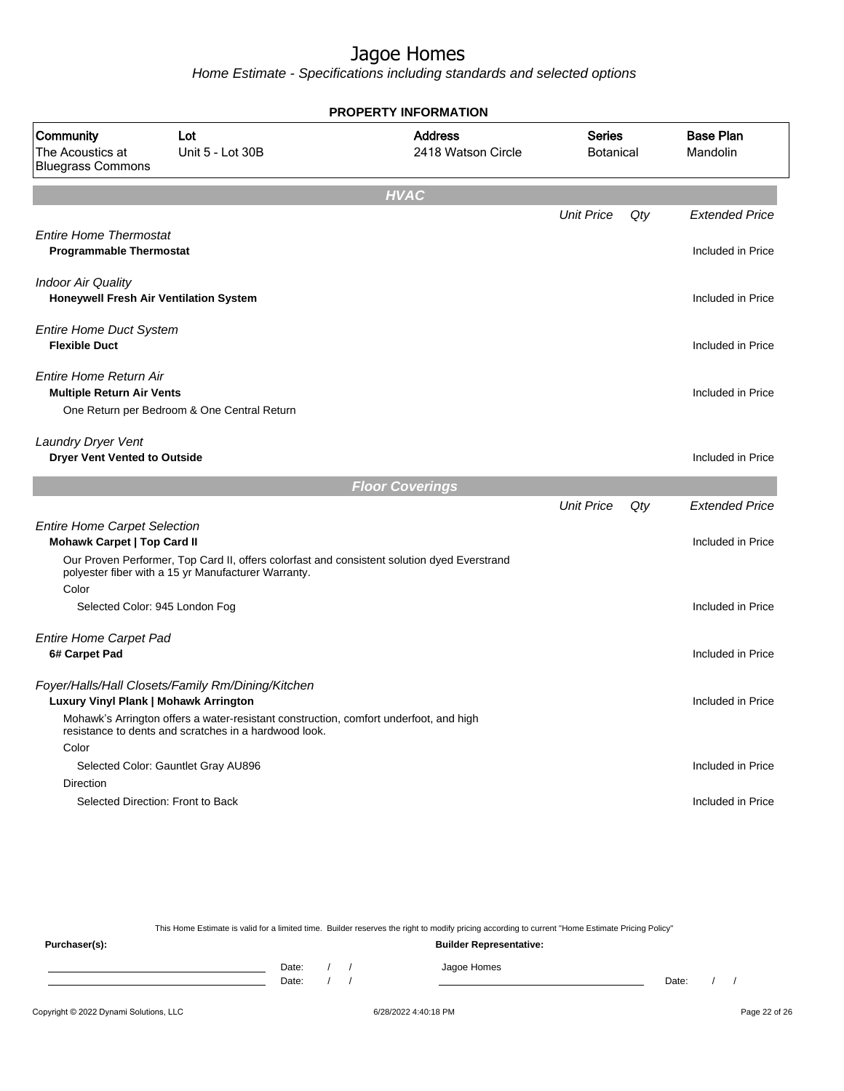Home Estimate - Specifications including standards and selected options

|                                                                     |                                                                                                                                                    | <b>PROPERTY INFORMATION</b>          |                            |     |                              |
|---------------------------------------------------------------------|----------------------------------------------------------------------------------------------------------------------------------------------------|--------------------------------------|----------------------------|-----|------------------------------|
| Community<br>The Acoustics at<br><b>Bluegrass Commons</b>           | Lot<br>Unit 5 - Lot 30B                                                                                                                            | <b>Address</b><br>2418 Watson Circle | Series<br><b>Botanical</b> |     | <b>Base Plan</b><br>Mandolin |
|                                                                     |                                                                                                                                                    | <b>HVAC</b>                          |                            |     |                              |
|                                                                     |                                                                                                                                                    |                                      | <b>Unit Price</b>          | Qty | <b>Extended Price</b>        |
| <b>Entire Home Thermostat</b><br><b>Programmable Thermostat</b>     |                                                                                                                                                    |                                      |                            |     | Included in Price            |
| <b>Indoor Air Quality</b><br>Honeywell Fresh Air Ventilation System |                                                                                                                                                    |                                      |                            |     | Included in Price            |
| <b>Entire Home Duct System</b><br><b>Flexible Duct</b>              |                                                                                                                                                    |                                      |                            |     | Included in Price            |
| Entire Home Return Air<br><b>Multiple Return Air Vents</b>          | One Return per Bedroom & One Central Return                                                                                                        |                                      |                            |     | Included in Price            |
| <b>Laundry Dryer Vent</b><br><b>Dryer Vent Vented to Outside</b>    |                                                                                                                                                    |                                      |                            |     | Included in Price            |
|                                                                     |                                                                                                                                                    | <b>Floor Coverings</b>               |                            |     |                              |
|                                                                     |                                                                                                                                                    |                                      | <b>Unit Price</b>          | Qty | <b>Extended Price</b>        |
| <b>Entire Home Carpet Selection</b><br>Mohawk Carpet   Top Card II  |                                                                                                                                                    |                                      |                            |     | Included in Price            |
|                                                                     | Our Proven Performer, Top Card II, offers colorfast and consistent solution dyed Everstrand<br>polyester fiber with a 15 yr Manufacturer Warranty. |                                      |                            |     |                              |
| Color<br>Selected Color: 945 London Fog                             |                                                                                                                                                    |                                      |                            |     | Included in Price            |
| <b>Entire Home Carpet Pad</b><br>6# Carpet Pad                      |                                                                                                                                                    |                                      |                            |     | Included in Price            |
| Luxury Vinyl Plank   Mohawk Arrington                               | Foyer/Halls/Hall Closets/Family Rm/Dining/Kitchen                                                                                                  |                                      |                            |     | Included in Price            |
|                                                                     | Mohawk's Arrington offers a water-resistant construction, comfort underfoot, and high<br>resistance to dents and scratches in a hardwood look.     |                                      |                            |     |                              |
| Color                                                               |                                                                                                                                                    |                                      |                            |     | Included in Price            |
| <b>Direction</b>                                                    | Selected Color: Gauntlet Gray AU896                                                                                                                |                                      |                            |     |                              |
| Selected Direction: Front to Back                                   |                                                                                                                                                    |                                      |                            |     | Included in Price            |
|                                                                     |                                                                                                                                                    |                                      |                            |     |                              |

This Home Estimate is valid for a limited time. Builder reserves the right to modify pricing according to current "Home Estimate Pricing Policy" **Purchaser(s): Builder Representative:** Date: / / Jagoe Homes<br>Date: / / Jagoe Homes Date: / / Date: / /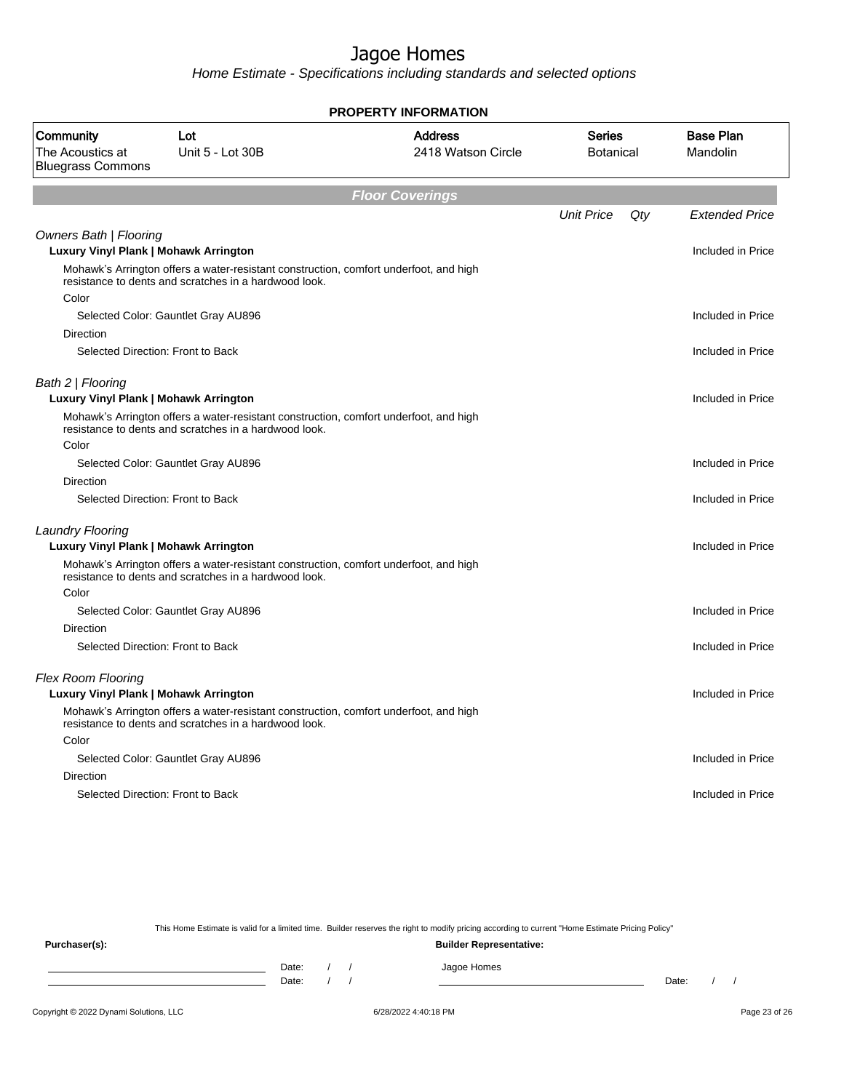Home Estimate - Specifications including standards and selected options

|                                                                        |                                                                                                                                                | <b>PROPERTY INFORMATION</b>          |                     |     |                              |
|------------------------------------------------------------------------|------------------------------------------------------------------------------------------------------------------------------------------------|--------------------------------------|---------------------|-----|------------------------------|
| Community<br>The Acoustics at<br><b>Bluegrass Commons</b>              | Lot<br>Unit 5 - Lot 30B                                                                                                                        | <b>Address</b><br>2418 Watson Circle | Series<br>Botanical |     | <b>Base Plan</b><br>Mandolin |
|                                                                        |                                                                                                                                                | <b>Floor Coverings</b>               |                     |     |                              |
|                                                                        |                                                                                                                                                |                                      | <b>Unit Price</b>   | Qty | <b>Extended Price</b>        |
| <b>Owners Bath   Flooring</b><br>Luxury Vinyl Plank   Mohawk Arrington |                                                                                                                                                |                                      |                     |     | Included in Price            |
|                                                                        | Mohawk's Arrington offers a water-resistant construction, comfort underfoot, and high<br>resistance to dents and scratches in a hardwood look. |                                      |                     |     |                              |
| Color                                                                  | Selected Color: Gauntlet Gray AU896                                                                                                            |                                      |                     |     | Included in Price            |
| Direction                                                              |                                                                                                                                                |                                      |                     |     |                              |
|                                                                        | Selected Direction: Front to Back                                                                                                              |                                      |                     |     | Included in Price            |
| Bath 2   Flooring<br>Luxury Vinyl Plank   Mohawk Arrington             |                                                                                                                                                |                                      |                     |     | Included in Price            |
|                                                                        | Mohawk's Arrington offers a water-resistant construction, comfort underfoot, and high<br>resistance to dents and scratches in a hardwood look. |                                      |                     |     |                              |
| Color                                                                  |                                                                                                                                                |                                      |                     |     |                              |
|                                                                        | Selected Color: Gauntlet Gray AU896                                                                                                            |                                      |                     |     | Included in Price            |
| Direction                                                              |                                                                                                                                                |                                      |                     |     |                              |
|                                                                        | Selected Direction: Front to Back                                                                                                              |                                      |                     |     | Included in Price            |
| <b>Laundry Flooring</b>                                                |                                                                                                                                                |                                      |                     |     |                              |
| Luxury Vinyl Plank   Mohawk Arrington                                  |                                                                                                                                                |                                      |                     |     | Included in Price            |
|                                                                        | Mohawk's Arrington offers a water-resistant construction, comfort underfoot, and high<br>resistance to dents and scratches in a hardwood look. |                                      |                     |     |                              |
| Color                                                                  |                                                                                                                                                |                                      |                     |     |                              |
|                                                                        | Selected Color: Gauntlet Gray AU896                                                                                                            |                                      |                     |     | Included in Price            |
| Direction                                                              | Selected Direction: Front to Back                                                                                                              |                                      |                     |     | Included in Price            |
|                                                                        |                                                                                                                                                |                                      |                     |     |                              |
| <b>Flex Room Flooring</b>                                              |                                                                                                                                                |                                      |                     |     |                              |
| Luxury Vinyl Plank   Mohawk Arrington                                  |                                                                                                                                                |                                      |                     |     | Included in Price            |
|                                                                        | Mohawk's Arrington offers a water-resistant construction, comfort underfoot, and high<br>resistance to dents and scratches in a hardwood look. |                                      |                     |     |                              |
| Color                                                                  |                                                                                                                                                |                                      |                     |     |                              |
|                                                                        | Selected Color: Gauntlet Gray AU896                                                                                                            |                                      |                     |     | Included in Price            |
| Direction                                                              |                                                                                                                                                |                                      |                     |     |                              |
|                                                                        | Selected Direction: Front to Back                                                                                                              |                                      |                     |     | Included in Price            |
|                                                                        |                                                                                                                                                |                                      |                     |     |                              |

This Home Estimate is valid for a limited time. Builder reserves the right to modify pricing according to current "Home Estimate Pricing Policy"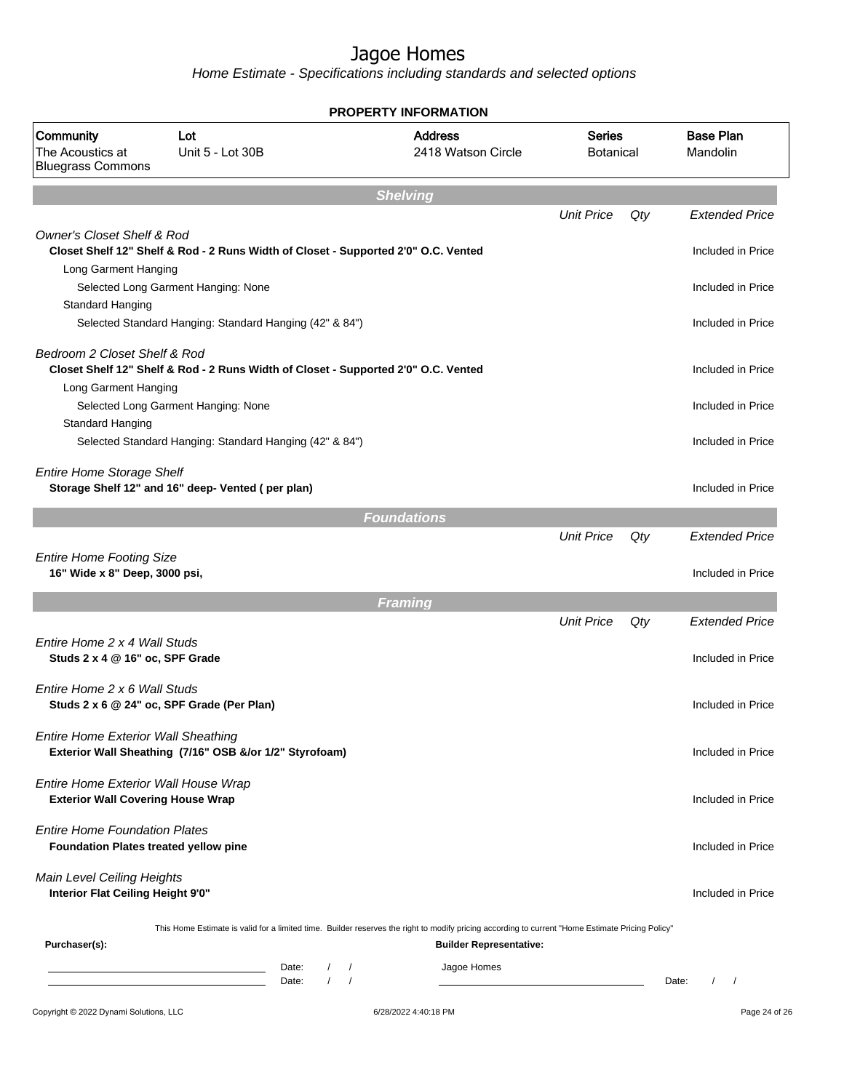Home Estimate - Specifications including standards and selected options

|                                                                                      |                                                                                                 | <b>PROPERTY INFORMATION</b>                                                                                                                                                        |                                   |     |                                            |
|--------------------------------------------------------------------------------------|-------------------------------------------------------------------------------------------------|------------------------------------------------------------------------------------------------------------------------------------------------------------------------------------|-----------------------------------|-----|--------------------------------------------|
| Community<br>The Acoustics at<br><b>Bluegrass Commons</b>                            | Lot<br>Unit 5 - Lot 30B                                                                         | <b>Address</b><br>2418 Watson Circle                                                                                                                                               | <b>Series</b><br><b>Botanical</b> |     | <b>Base Plan</b><br>Mandolin               |
|                                                                                      |                                                                                                 | <b>Shelving</b>                                                                                                                                                                    |                                   |     |                                            |
|                                                                                      |                                                                                                 |                                                                                                                                                                                    | <b>Unit Price</b>                 | Qty | <b>Extended Price</b>                      |
| <b>Owner's Closet Shelf &amp; Rod</b><br>Long Garment Hanging                        | Closet Shelf 12" Shelf & Rod - 2 Runs Width of Closet - Supported 2'0" O.C. Vented              |                                                                                                                                                                                    |                                   |     | Included in Price                          |
| Standard Hanging                                                                     | Selected Long Garment Hanging: None                                                             |                                                                                                                                                                                    |                                   |     | Included in Price                          |
|                                                                                      | Selected Standard Hanging: Standard Hanging (42" & 84")                                         |                                                                                                                                                                                    |                                   |     | Included in Price                          |
| Bedroom 2 Closet Shelf & Rod<br>Long Garment Hanging                                 | Closet Shelf 12" Shelf & Rod - 2 Runs Width of Closet - Supported 2'0" O.C. Vented              |                                                                                                                                                                                    |                                   |     | Included in Price                          |
| Standard Hanging                                                                     | Selected Long Garment Hanging: None                                                             |                                                                                                                                                                                    |                                   |     | Included in Price                          |
|                                                                                      | Selected Standard Hanging: Standard Hanging (42" & 84")                                         |                                                                                                                                                                                    |                                   |     | Included in Price                          |
| <b>Entire Home Storage Shelf</b>                                                     | Storage Shelf 12" and 16" deep- Vented (per plan)                                               |                                                                                                                                                                                    |                                   |     | Included in Price                          |
|                                                                                      |                                                                                                 | <b>Foundations</b>                                                                                                                                                                 |                                   |     |                                            |
| <b>Entire Home Footing Size</b><br>16" Wide x 8" Deep, 3000 psi,                     |                                                                                                 |                                                                                                                                                                                    | <b>Unit Price</b>                 | Qty | <b>Extended Price</b><br>Included in Price |
|                                                                                      |                                                                                                 |                                                                                                                                                                                    |                                   |     |                                            |
|                                                                                      |                                                                                                 | <b>Framing</b>                                                                                                                                                                     | <b>Unit Price</b>                 | Qty | <b>Extended Price</b>                      |
| Entire Home 2 x 4 Wall Studs<br>Studs 2 x 4 @ 16" oc, SPF Grade                      |                                                                                                 |                                                                                                                                                                                    |                                   |     | Included in Price                          |
| Entire Home 2 x 6 Wall Studs                                                         | Studs 2 x 6 @ 24" oc, SPF Grade (Per Plan)                                                      |                                                                                                                                                                                    |                                   |     | Included in Price                          |
| Entire Home Exterior Wall Sheathing                                                  | Exterior Wall Sheathing (7/16" OSB &/or 1/2" Styrofoam)                                         |                                                                                                                                                                                    |                                   |     | Included in Price                          |
| Entire Home Exterior Wall House Wrap<br><b>Exterior Wall Covering House Wrap</b>     |                                                                                                 |                                                                                                                                                                                    |                                   |     | Included in Price                          |
| <b>Entire Home Foundation Plates</b><br><b>Foundation Plates treated yellow pine</b> |                                                                                                 |                                                                                                                                                                                    |                                   |     | Included in Price                          |
| Main Level Ceiling Heights<br>Interior Flat Ceiling Height 9'0"                      |                                                                                                 |                                                                                                                                                                                    |                                   |     | Included in Price                          |
| Purchaser(s):                                                                        |                                                                                                 | This Home Estimate is valid for a limited time. Builder reserves the right to modify pricing according to current "Home Estimate Pricing Policy"<br><b>Builder Representative:</b> |                                   |     |                                            |
|                                                                                      | $\sqrt{2}$<br>Date:<br><u> 1989 - Johann Barn, mars et al. (b. 1989)</u><br>$\sqrt{ }$<br>Date: | Jagoe Homes<br>$\prime$<br>$\sqrt{ }$                                                                                                                                              |                                   |     | $\left  \right $<br>Date:                  |
|                                                                                      |                                                                                                 |                                                                                                                                                                                    |                                   |     |                                            |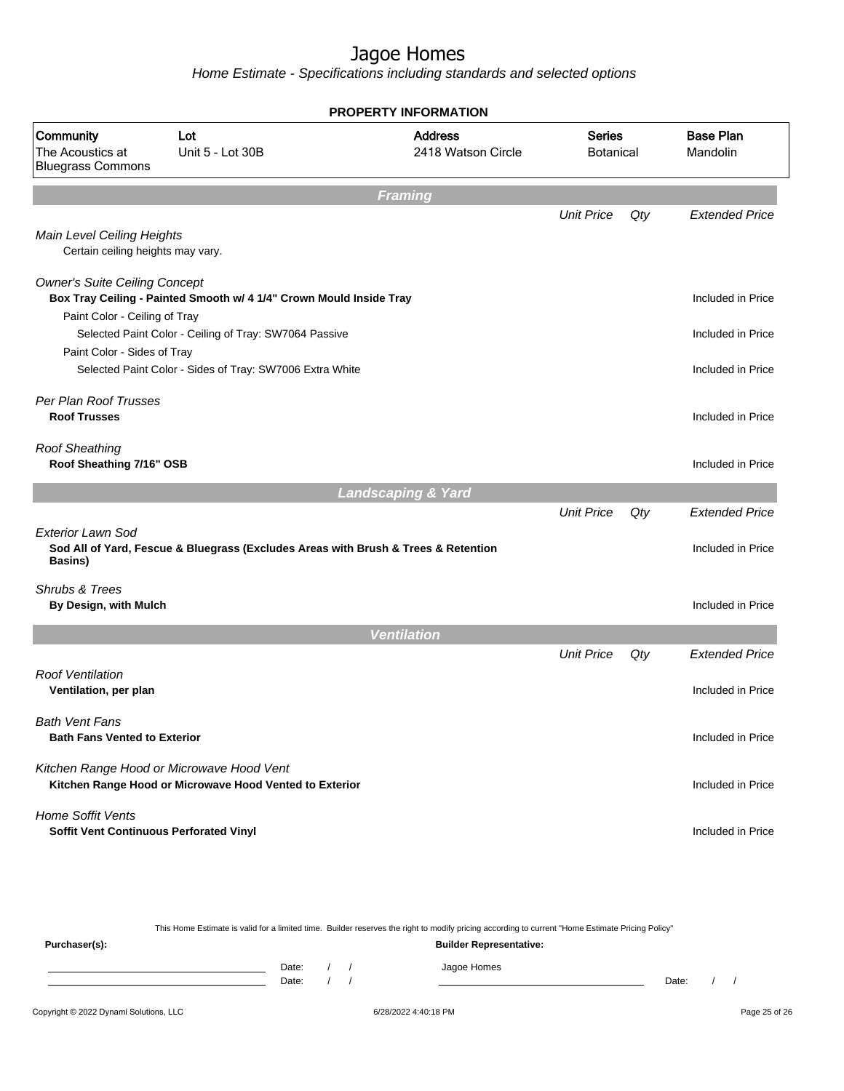Home Estimate - Specifications including standards and selected options

|                                                                     |                                                                                                      | <b>PROPERTY INFORMATION</b>          |                                   |     |                              |  |
|---------------------------------------------------------------------|------------------------------------------------------------------------------------------------------|--------------------------------------|-----------------------------------|-----|------------------------------|--|
| Community<br>The Acoustics at<br><b>Bluegrass Commons</b>           | Lot<br>Unit 5 - Lot 30B                                                                              | <b>Address</b><br>2418 Watson Circle | <b>Series</b><br><b>Botanical</b> |     | <b>Base Plan</b><br>Mandolin |  |
|                                                                     |                                                                                                      | <b>Framing</b>                       |                                   |     |                              |  |
| Main Level Ceiling Heights                                          |                                                                                                      |                                      | <b>Unit Price</b>                 | Qty | <b>Extended Price</b>        |  |
| Certain ceiling heights may vary.                                   |                                                                                                      |                                      |                                   |     |                              |  |
| <b>Owner's Suite Ceiling Concept</b>                                | Box Tray Ceiling - Painted Smooth w/ 4 1/4" Crown Mould Inside Tray                                  |                                      |                                   |     | Included in Price            |  |
| Paint Color - Ceiling of Tray                                       |                                                                                                      |                                      |                                   |     |                              |  |
|                                                                     | Selected Paint Color - Ceiling of Tray: SW7064 Passive                                               |                                      |                                   |     | Included in Price            |  |
| Paint Color - Sides of Tray                                         | Selected Paint Color - Sides of Tray: SW7006 Extra White                                             |                                      |                                   |     | Included in Price            |  |
| Per Plan Roof Trusses<br><b>Roof Trusses</b>                        |                                                                                                      |                                      |                                   |     | Included in Price            |  |
| <b>Roof Sheathing</b><br>Roof Sheathing 7/16" OSB                   |                                                                                                      |                                      |                                   |     | Included in Price            |  |
|                                                                     |                                                                                                      | <b>Landscaping &amp; Yard</b>        |                                   |     |                              |  |
|                                                                     |                                                                                                      |                                      | <b>Unit Price</b>                 | Qty | <b>Extended Price</b>        |  |
| <b>Exterior Lawn Sod</b><br>Basins)                                 | Sod All of Yard, Fescue & Bluegrass (Excludes Areas with Brush & Trees & Retention                   |                                      |                                   |     | Included in Price            |  |
| Shrubs & Trees<br>By Design, with Mulch                             |                                                                                                      |                                      |                                   |     | Included in Price            |  |
|                                                                     |                                                                                                      | <b>Ventilation</b>                   |                                   |     |                              |  |
|                                                                     |                                                                                                      |                                      | <b>Unit Price</b>                 | Qty | <b>Extended Price</b>        |  |
| <b>Roof Ventilation</b><br>Ventilation, per plan                    |                                                                                                      |                                      |                                   |     | Included in Price            |  |
| <b>Bath Vent Fans</b><br><b>Bath Fans Vented to Exterior</b>        |                                                                                                      |                                      |                                   |     | Included in Price            |  |
|                                                                     | Kitchen Range Hood or Microwave Hood Vent<br>Kitchen Range Hood or Microwave Hood Vented to Exterior |                                      |                                   |     | Included in Price            |  |
| <b>Home Soffit Vents</b><br>Soffit Vent Continuous Perforated Vinyl |                                                                                                      |                                      |                                   |     | Included in Price            |  |
|                                                                     |                                                                                                      |                                      |                                   |     |                              |  |

This Home Estimate is valid for a limited time. Builder reserves the right to modify pricing according to current "Home Estimate Pricing Policy" **Purchaser(s): Builder Representative:** Date: / / Jagoe Homes<br>Date: / / Jagoe Homes Date: / / **Date: / / 2006** Date: / / / Date: / / / Date: / / / 2006 Date: / / / 2006 Date: / / / 2006 Date: / / / 2006 Date: / / / 2007 Date: / / / 2007 Date: / / / 2007 Date: / / / 2007 Date: / / / 2007 Date: / / / 2007 D